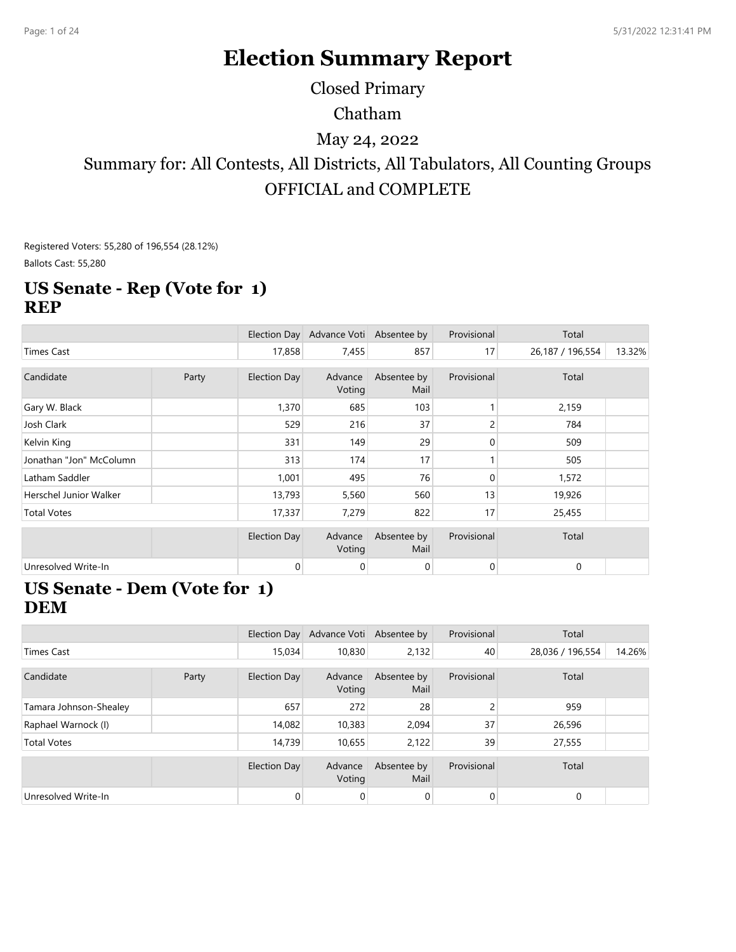# **Election Summary Report**

Closed Primary

#### Chatham

#### May 24, 2022

## Summary for: All Contests, All Districts, All Tabulators, All Counting Groups OFFICIAL and COMPLETE

Registered Voters: 55,280 of 196,554 (28.12%) Ballots Cast: 55,280

#### **US Senate - Rep (Vote for 1) REP**

|                         |       |                     | Election Day Advance Voti Absentee by |                     | Provisional    | Total            |        |
|-------------------------|-------|---------------------|---------------------------------------|---------------------|----------------|------------------|--------|
| <b>Times Cast</b>       |       | 17,858              | 7,455                                 | 857                 | 17             | 26,187 / 196,554 | 13.32% |
| Candidate               | Party | <b>Election Day</b> | Advance<br>Voting                     | Absentee by<br>Mail | Provisional    | Total            |        |
| Gary W. Black           |       | 1,370               | 685                                   | 103                 |                | 2,159            |        |
| Josh Clark              |       | 529                 | 216                                   | 37                  | 2              | 784              |        |
| Kelvin King             |       | 331                 | 149                                   | 29                  | $\overline{0}$ | 509              |        |
| Jonathan "Jon" McColumn |       | 313                 | 174                                   | 17                  |                | 505              |        |
| Latham Saddler          |       | 1,001               | 495                                   | 76                  | $\mathbf{0}$   | 1,572            |        |
| Herschel Junior Walker  |       | 13,793              | 5,560                                 | 560                 | 13             | 19,926           |        |
| <b>Total Votes</b>      |       | 17,337              | 7,279                                 | 822                 | 17             | 25,455           |        |
|                         |       | <b>Election Day</b> | Advance<br>Voting                     | Absentee by<br>Mail | Provisional    | Total            |        |
| Unresolved Write-In     |       | $\mathbf{0}$        | 0                                     | $\mathbf 0$         | $\overline{0}$ | $\mathbf{0}$     |        |

#### **US Senate - Dem (Vote for 1) DEM**

|                        |       |                     | Election Day Advance Voti Absentee by |                     | Provisional | Total            |        |
|------------------------|-------|---------------------|---------------------------------------|---------------------|-------------|------------------|--------|
| Times Cast             |       | 15.034              | 10,830                                | 2,132               | 40          | 28,036 / 196,554 | 14.26% |
|                        |       |                     |                                       |                     |             |                  |        |
| Candidate              | Party | <b>Election Day</b> | Advance<br>Voting                     | Absentee by<br>Mail | Provisional | Total            |        |
| Tamara Johnson-Shealey |       | 657                 | 272                                   | 28                  | 2           | 959              |        |
| Raphael Warnock (I)    |       | 14,082              | 10,383                                | 2,094               | 37          | 26,596           |        |
| <b>Total Votes</b>     |       | 14,739              | 10,655                                | 2,122               | 39          | 27,555           |        |
|                        |       |                     |                                       |                     |             |                  |        |
|                        |       | <b>Election Day</b> | Advance<br>Voting                     | Absentee by<br>Mail | Provisional | Total            |        |
| Unresolved Write-In    |       | $\mathbf{0}$        | 0                                     | 0                   | 0           | 0                |        |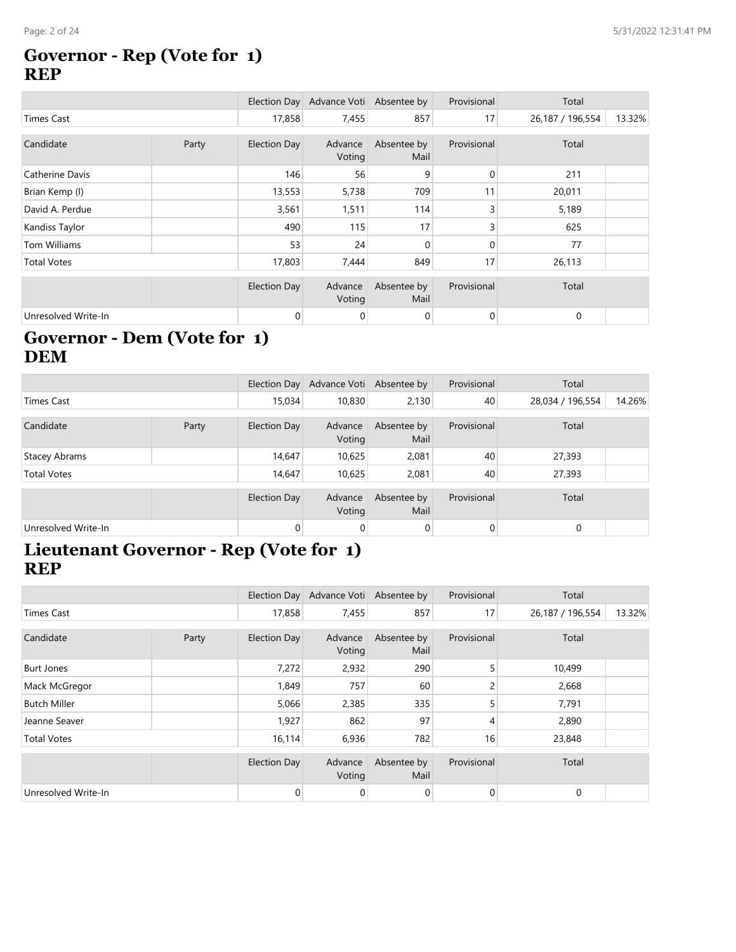#### **Governor - Rep (Vote for 1) REP**

|                     |       |                     | Election Day Advance Voti Absentee by |                     | Provisional  | Total            |        |
|---------------------|-------|---------------------|---------------------------------------|---------------------|--------------|------------------|--------|
| <b>Times Cast</b>   |       | 17,858              | 7,455                                 | 857                 | 17           | 26,187 / 196,554 | 13.32% |
| Candidate           | Party | <b>Election Day</b> | Advance<br>Voting                     | Absentee by<br>Mail | Provisional  | Total            |        |
| Catherine Davis     |       | 146                 | 56                                    | 9                   | $\mathbf{0}$ | 211              |        |
| Brian Kemp (I)      |       | 13,553              | 5,738                                 | 709                 | 11           | 20,011           |        |
| David A. Perdue     |       | 3,561               | 1,511                                 | 114                 | 3            | 5,189            |        |
| Kandiss Taylor      |       | 490                 | 115                                   | 17                  | 3            | 625              |        |
| Tom Williams        |       | 53                  | 24                                    | $\mathbf{0}$        | $\Omega$     | 77               |        |
| <b>Total Votes</b>  |       | 17,803              | 7,444                                 | 849                 | 17           | 26,113           |        |
|                     |       | <b>Election Day</b> | Advance<br>Voting                     | Absentee by<br>Mail | Provisional  | Total            |        |
| Unresolved Write-In |       | $\overline{0}$      | 0                                     | $\mathbf 0$         | $\mathbf{0}$ | $\mathbf 0$      |        |

### **Governor - Dem (Vote for 1) DEM**

|                      |       |              | Election Day Advance Voti Absentee by |                     | Provisional | Total            |        |
|----------------------|-------|--------------|---------------------------------------|---------------------|-------------|------------------|--------|
| Times Cast           |       | 15,034       | 10,830                                | 2,130               | 40          | 28,034 / 196,554 | 14.26% |
| Candidate            | Party | Election Day | Advance<br>Voting                     | Absentee by<br>Mail | Provisional | Total            |        |
| <b>Stacey Abrams</b> |       | 14,647       | 10,625                                | 2,081               | 40          | 27,393           |        |
| <b>Total Votes</b>   |       | 14,647       | 10,625                                | 2,081               | 40          | 27,393           |        |
|                      |       | Election Day | Advance<br>Voting                     | Absentee by<br>Mail | Provisional | Total            |        |
| Unresolved Write-In  |       | 0            | 0                                     | $\mathbf 0$         | 0           | 0                |        |

#### **Lieutenant Governor - Rep (Vote for 1) REP**

|                     |       |                     | Election Day Advance Voti Absentee by |                     | Provisional | Total            |        |
|---------------------|-------|---------------------|---------------------------------------|---------------------|-------------|------------------|--------|
| Times Cast          |       | 17,858              | 7,455                                 | 857                 | 17          | 26,187 / 196,554 | 13.32% |
| Candidate           | Party | Election Day        | Advance<br>Voting                     | Absentee by<br>Mail | Provisional | Total            |        |
| <b>Burt Jones</b>   |       | 7,272               | 2,932                                 | 290                 | 5           | 10,499           |        |
| Mack McGregor       |       | 1,849               | 757                                   | 60                  | 2           | 2,668            |        |
| <b>Butch Miller</b> |       | 5,066               | 2,385                                 | 335                 | 5           | 7,791            |        |
| Jeanne Seaver       |       | 1,927               | 862                                   | 97                  | 4           | 2,890            |        |
| <b>Total Votes</b>  |       | 16,114              | 6,936                                 | 782                 | 16          | 23,848           |        |
|                     |       | <b>Election Day</b> | Advance<br>Voting                     | Absentee by<br>Mail | Provisional | Total            |        |
| Unresolved Write-In |       | $\mathbf{0}$        | 0                                     | 0                   | 0           | $\mathbf 0$      |        |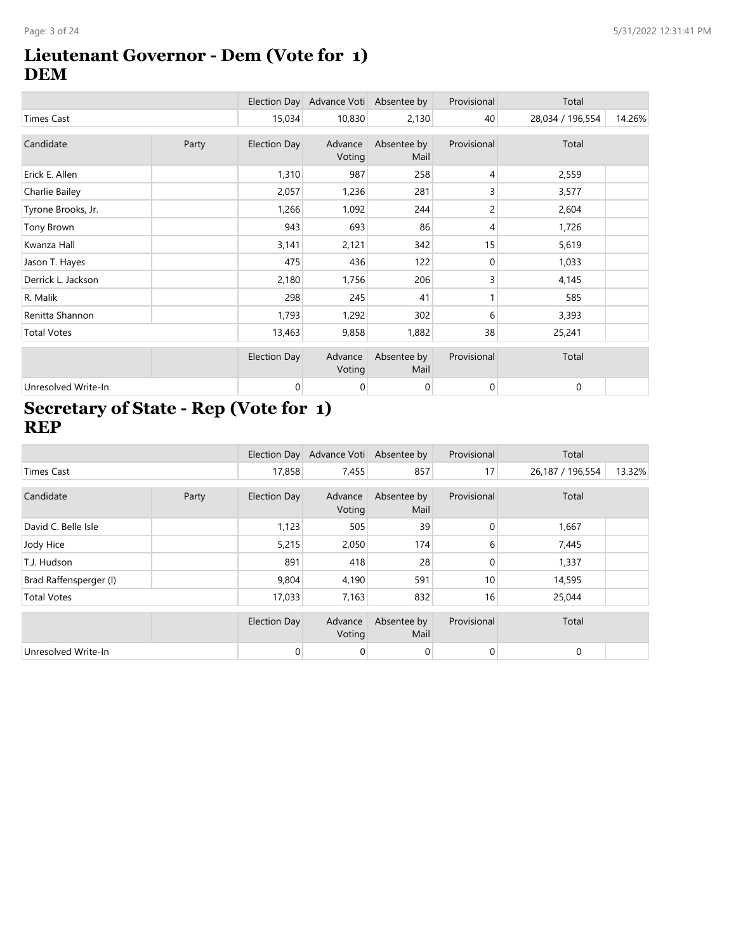#### **Lieutenant Governor - Dem (Vote for 1) DEM**

|                     |       |              | Election Day Advance Voti Absentee by |                     | Provisional | Total            |        |
|---------------------|-------|--------------|---------------------------------------|---------------------|-------------|------------------|--------|
| <b>Times Cast</b>   |       | 15,034       | 10,830                                | 2,130               | 40          | 28,034 / 196,554 | 14.26% |
| Candidate           | Party | Election Day | Advance<br>Voting                     | Absentee by<br>Mail | Provisional | Total            |        |
| Erick E. Allen      |       | 1,310        | 987                                   | 258                 | 4           | 2,559            |        |
| Charlie Bailey      |       | 2,057        | 1,236                                 | 281                 | 3           | 3,577            |        |
| Tyrone Brooks, Jr.  |       | 1,266        | 1,092                                 | 244                 | 2           | 2,604            |        |
| Tony Brown          |       | 943          | 693                                   | 86                  | 4           | 1,726            |        |
| Kwanza Hall         |       | 3,141        | 2,121                                 | 342                 | 15          | 5,619            |        |
| Jason T. Hayes      |       | 475          | 436                                   | 122                 | $\mathbf 0$ | 1,033            |        |
| Derrick L. Jackson  |       | 2,180        | 1,756                                 | 206                 | 3           | 4,145            |        |
| R. Malik            |       | 298          | 245                                   | 41                  | 1           | 585              |        |
| Renitta Shannon     |       | 1,793        | 1,292                                 | 302                 | 6           | 3,393            |        |
| <b>Total Votes</b>  |       | 13,463       | 9,858                                 | 1,882               | 38          | 25,241           |        |
|                     |       | Election Day | Advance<br>Voting                     | Absentee by<br>Mail | Provisional | Total            |        |
| Unresolved Write-In |       | 0            | 0                                     | 0                   | 0           | $\mathbf 0$      |        |

#### **Secretary of State - Rep (Vote for 1) REP**

|                        |       |                     | Election Day Advance Voti Absentee by |                     | Provisional    | Total            |        |
|------------------------|-------|---------------------|---------------------------------------|---------------------|----------------|------------------|--------|
| <b>Times Cast</b>      |       | 17,858              | 7,455                                 | 857                 | 17             | 26,187 / 196,554 | 13.32% |
| Candidate              | Party | Election Day        | Advance<br>Voting                     | Absentee by<br>Mail | Provisional    | Total            |        |
| David C. Belle Isle    |       | 1,123               | 505                                   | 39                  | $\overline{0}$ | 1,667            |        |
| Jody Hice              |       | 5,215               | 2,050                                 | 174                 | 6              | 7,445            |        |
| T.J. Hudson            |       | 891                 | 418                                   | 28                  | $\Omega$       | 1,337            |        |
| Brad Raffensperger (I) |       | 9,804               | 4,190                                 | 591                 | 10             | 14,595           |        |
| <b>Total Votes</b>     |       | 17,033              | 7,163                                 | 832                 | 16             | 25,044           |        |
|                        |       | <b>Election Day</b> | Advance<br>Voting                     | Absentee by<br>Mail | Provisional    | Total            |        |
| Unresolved Write-In    |       | $\mathbf{0}$        | 0                                     | $\mathbf 0$         | $\overline{0}$ | $\mathbf 0$      |        |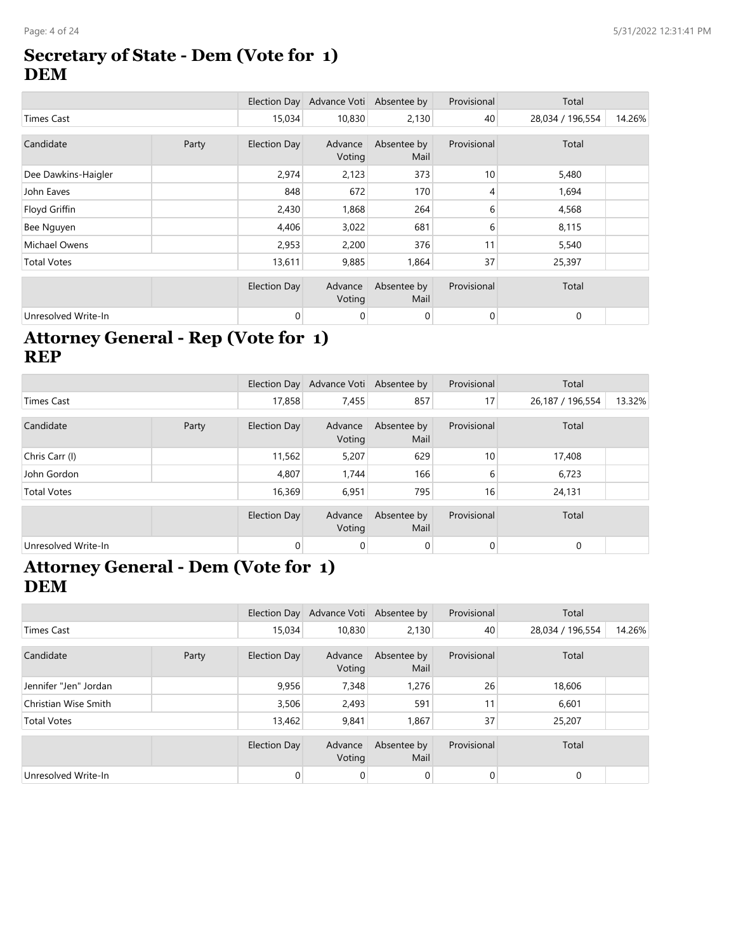#### **Secretary of State - Dem (Vote for 1) DEM**

|                     |       |                     | Election Day Advance Voti Absentee by |                     | Provisional    | Total            |        |
|---------------------|-------|---------------------|---------------------------------------|---------------------|----------------|------------------|--------|
| <b>Times Cast</b>   |       | 15,034              | 10,830                                | 2,130               | 40             | 28,034 / 196,554 | 14.26% |
| Candidate           | Party | <b>Election Day</b> | Advance<br>Voting                     | Absentee by<br>Mail | Provisional    | Total            |        |
| Dee Dawkins-Haigler |       | 2,974               | 2,123                                 | 373                 | 10             | 5,480            |        |
| John Eaves          |       | 848                 | 672                                   | 170                 | 4              | 1,694            |        |
| Floyd Griffin       |       | 2,430               | 1,868                                 | 264                 | 6              | 4,568            |        |
| Bee Nguyen          |       | 4,406               | 3,022                                 | 681                 | 6              | 8,115            |        |
| Michael Owens       |       | 2,953               | 2,200                                 | 376                 | 11             | 5,540            |        |
| <b>Total Votes</b>  |       | 13,611              | 9,885                                 | 1,864               | 37             | 25,397           |        |
|                     |       | <b>Election Day</b> | Advance<br>Voting                     | Absentee by<br>Mail | Provisional    | Total            |        |
| Unresolved Write-In |       | $\mathbf{0}$        | 0                                     | $\mathbf 0$         | $\overline{0}$ | $\mathbf 0$      |        |

#### **Attorney General - Rep (Vote for 1) REP**

|                     |       |              | Election Day Advance Voti Absentee by |                     | Provisional     | Total            |        |
|---------------------|-------|--------------|---------------------------------------|---------------------|-----------------|------------------|--------|
| Times Cast          |       | 17,858       | 7,455                                 | 857                 | 17 <sub>1</sub> | 26,187 / 196,554 | 13.32% |
| Candidate           | Party | Election Day | Advance<br>Voting                     | Absentee by<br>Mail | Provisional     | Total            |        |
| Chris Carr (I)      |       | 11,562       | 5,207                                 | 629                 | 10 <sup>1</sup> | 17,408           |        |
| John Gordon         |       | 4,807        | 1.744                                 | 166                 | 6               | 6,723            |        |
| <b>Total Votes</b>  |       | 16,369       | 6,951                                 | 795                 | 16 <sub>1</sub> | 24,131           |        |
|                     |       | Election Day | Advance<br>Voting                     | Absentee by<br>Mail | Provisional     | Total            |        |
| Unresolved Write-In |       | $\mathbf{0}$ | $\mathbf 0$                           | $\mathbf 0$         | $\overline{0}$  | $\mathbf 0$      |        |

#### **Attorney General - Dem (Vote for 1) DEM**

|                       |       |              | Election Day Advance Voti Absentee by |                     | Provisional    | Total            |        |
|-----------------------|-------|--------------|---------------------------------------|---------------------|----------------|------------------|--------|
| Times Cast            |       | 15,034       | 10,830                                | 2,130               | 40             | 28,034 / 196,554 | 14.26% |
| Candidate             | Party | Election Day | Advance<br>Voting                     | Absentee by<br>Mail | Provisional    | Total            |        |
| Jennifer "Jen" Jordan |       | 9,956        | 7,348                                 | 1,276               | 26             | 18,606           |        |
| Christian Wise Smith  |       | 3,506        | 2,493                                 | 591                 | 11             | 6,601            |        |
| <b>Total Votes</b>    |       | 13,462       | 9,841                                 | 1,867               | 37             | 25,207           |        |
|                       |       | Election Day | Advance<br>Voting                     | Absentee by<br>Mail | Provisional    | Total            |        |
| Unresolved Write-In   |       | 0            | 0                                     | 0                   | $\overline{0}$ | $\mathbf{0}$     |        |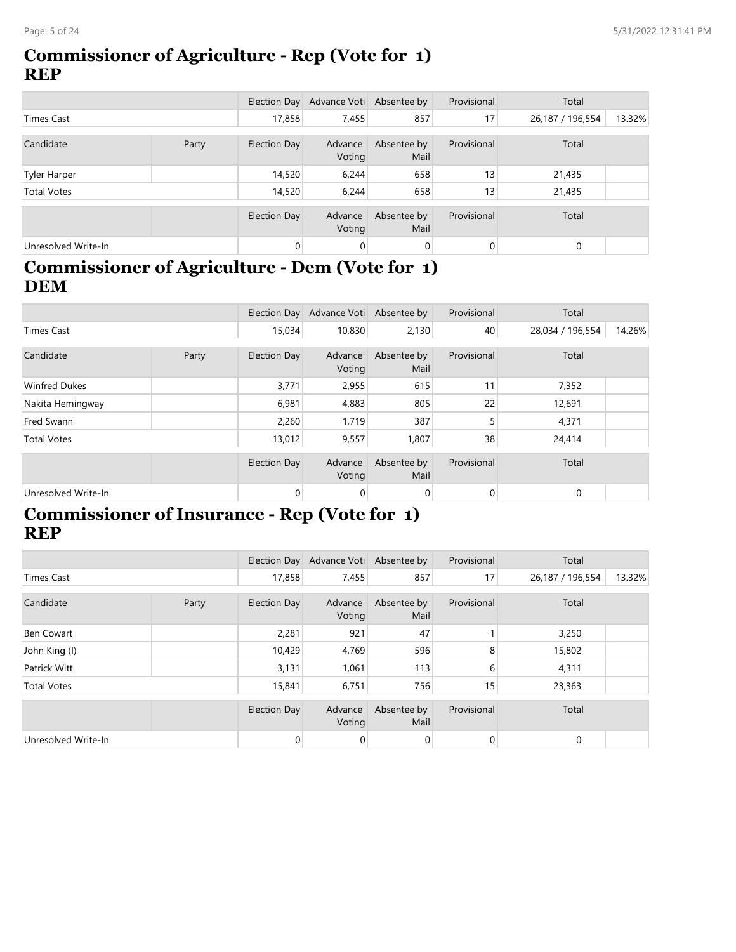#### **Commissioner of Agriculture - Rep (Vote for 1) REP**

|                     |       |                | Election Day Advance Voti Absentee by |                     | Provisional    | Total            |        |
|---------------------|-------|----------------|---------------------------------------|---------------------|----------------|------------------|--------|
| Times Cast          |       | 17,858         | 7,455                                 | 857                 | 17             | 26,187 / 196,554 | 13.32% |
| Candidate           | Party | Election Day   | Advance<br>Voting                     | Absentee by<br>Mail | Provisional    | Total            |        |
| Tyler Harper        |       | 14,520         | 6,244                                 | 658                 | 13             | 21,435           |        |
| <b>Total Votes</b>  |       | 14,520         | 6,244                                 | 658                 | 13             | 21,435           |        |
|                     |       | Election Day   | Advance<br>Voting                     | Absentee by<br>Mail | Provisional    | Total            |        |
| Unresolved Write-In |       | $\overline{0}$ | $\mathbf 0$                           | 0                   | $\overline{0}$ | $\mathbf{0}$     |        |

## **Commissioner of Agriculture - Dem (Vote for 1) DEM**

|                      |       |                     | Election Day Advance Voti Absentee by |                     | Provisional    | Total            |        |
|----------------------|-------|---------------------|---------------------------------------|---------------------|----------------|------------------|--------|
| <b>Times Cast</b>    |       | 15.034              | 10,830                                | 2,130               | 40             | 28,034 / 196,554 | 14.26% |
| Candidate            | Party | Election Day        | Advance<br>Voting                     | Absentee by<br>Mail | Provisional    | Total            |        |
| <b>Winfred Dukes</b> |       | 3,771               | 2,955                                 | 615                 | 11             | 7,352            |        |
| Nakita Hemingway     |       | 6,981               | 4,883                                 | 805                 | 22             | 12,691           |        |
| Fred Swann           |       | 2,260               | 1,719                                 | 387                 | 5              | 4,371            |        |
| <b>Total Votes</b>   |       | 13,012              | 9,557                                 | 1,807               | 38             | 24,414           |        |
|                      |       | <b>Election Day</b> | Advance<br>Voting                     | Absentee by<br>Mail | Provisional    | Total            |        |
| Unresolved Write-In  |       | $\overline{0}$      | 0                                     | $\overline{0}$      | $\overline{0}$ | $\mathbf{0}$     |        |

### **Commissioner of Insurance - Rep (Vote for 1) REP**

|                     |       |                     | Election Day Advance Voti Absentee by |                     | Provisional    | Total            |        |
|---------------------|-------|---------------------|---------------------------------------|---------------------|----------------|------------------|--------|
| <b>Times Cast</b>   |       | 17,858              | 7,455                                 | 857                 | 17             | 26,187 / 196,554 | 13.32% |
| Candidate           | Party | <b>Election Day</b> | Advance<br>Voting                     | Absentee by<br>Mail | Provisional    | Total            |        |
| Ben Cowart          |       | 2,281               | 921                                   | 47                  |                | 3,250            |        |
| John King (I)       |       | 10,429              | 4,769                                 | 596                 | 8              | 15,802           |        |
| Patrick Witt        |       | 3,131               | 1,061                                 | 113                 | 6              | 4,311            |        |
| <b>Total Votes</b>  |       | 15,841              | 6,751                                 | 756                 | 15             | 23,363           |        |
|                     |       | <b>Election Day</b> | Advance<br>Voting                     | Absentee by<br>Mail | Provisional    | Total            |        |
| Unresolved Write-In |       | $\mathbf{0}$        | 0                                     | 0                   | $\overline{0}$ | 0                |        |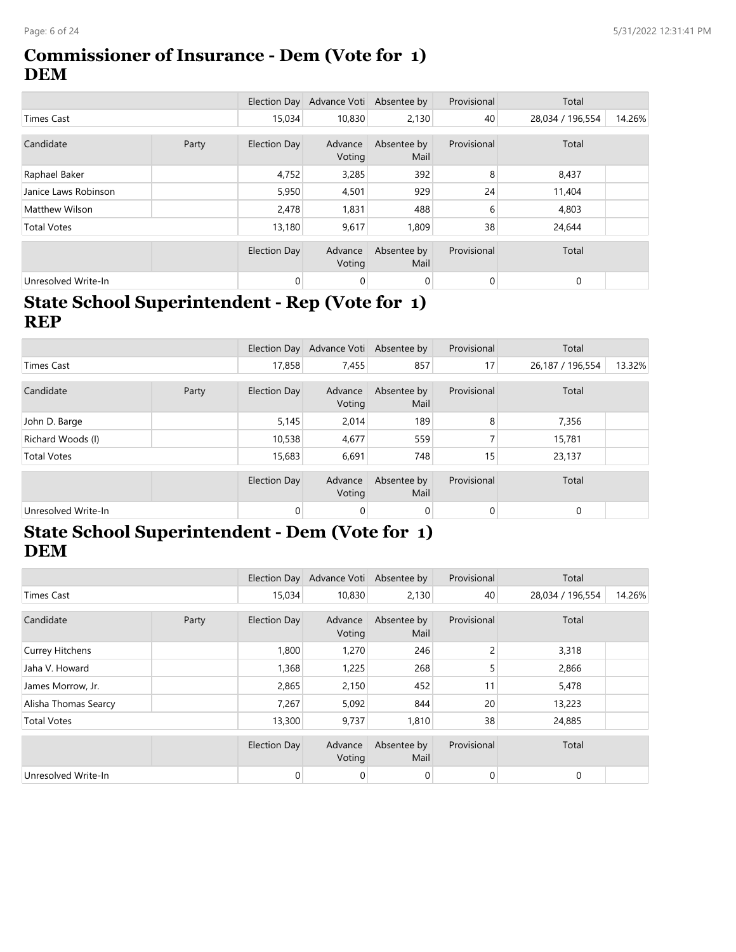#### **Commissioner of Insurance - Dem (Vote for 1) DEM**

|                      |       |              | Election Day Advance Voti Absentee by |                     | Provisional    | Total            |        |
|----------------------|-------|--------------|---------------------------------------|---------------------|----------------|------------------|--------|
| Times Cast           |       | 15,034       | 10,830                                | 2,130               | 40             | 28,034 / 196,554 | 14.26% |
| Candidate            | Party | Election Day | Advance<br>Voting                     | Absentee by<br>Mail | Provisional    | Total            |        |
| Raphael Baker        |       | 4,752        | 3,285                                 | 392                 | 8              | 8,437            |        |
| Janice Laws Robinson |       | 5,950        | 4,501                                 | 929                 | 24             | 11,404           |        |
| Matthew Wilson       |       | 2,478        | 1,831                                 | 488                 | 6              | 4,803            |        |
| <b>Total Votes</b>   |       | 13,180       | 9,617                                 | 1,809               | 38             | 24,644           |        |
|                      |       | Election Day | Advance<br>Voting                     | Absentee by<br>Mail | Provisional    | Total            |        |
| Unresolved Write-In  |       | $\mathbf{0}$ | $\mathbf 0$                           | 0                   | $\overline{0}$ | $\mathbf{0}$     |        |

### **State School Superintendent - Rep (Vote for 1) REP**

|                     |       |                     | Election Day Advance Voti Absentee by |                     | Provisional | Total            |        |
|---------------------|-------|---------------------|---------------------------------------|---------------------|-------------|------------------|--------|
| <b>Times Cast</b>   |       | 17,858              | 7,455                                 | 857                 | 17          | 26,187 / 196,554 | 13.32% |
| Candidate           | Party | Election Day        | Advance<br>Voting                     | Absentee by<br>Mail | Provisional | Total            |        |
| John D. Barge       |       | 5,145               | 2,014                                 | 189                 | 8           | 7,356            |        |
| Richard Woods (I)   |       | 10,538              | 4,677                                 | 559                 |             | 15,781           |        |
| <b>Total Votes</b>  |       | 15,683              | 6,691                                 | 748                 | 15          | 23,137           |        |
|                     |       | <b>Election Day</b> | Advance<br>Voting                     | Absentee by<br>Mail | Provisional | Total            |        |
| Unresolved Write-In |       | $\mathbf 0$         | $\mathbf 0$                           | $\mathbf 0$         | 0           | $\mathbf{0}$     |        |

### **State School Superintendent - Dem (Vote for 1) DEM**

|                        |       |              | Election Day Advance Voti Absentee by |                     | Provisional | Total            |        |
|------------------------|-------|--------------|---------------------------------------|---------------------|-------------|------------------|--------|
| <b>Times Cast</b>      |       | 15,034       | 10,830                                | 2,130               | 40          | 28,034 / 196,554 | 14.26% |
| Candidate              | Party | Election Day | Advance<br>Voting                     | Absentee by<br>Mail | Provisional | Total            |        |
| <b>Currey Hitchens</b> |       | 1,800        | 1,270                                 | 246                 | 2           | 3,318            |        |
| Jaha V. Howard         |       | 1,368        | 1,225                                 | 268                 | 5           | 2,866            |        |
| James Morrow, Jr.      |       | 2,865        | 2,150                                 | 452                 | 11          | 5,478            |        |
| Alisha Thomas Searcy   |       | 7,267        | 5,092                                 | 844                 | 20          | 13,223           |        |
| <b>Total Votes</b>     |       | 13,300       | 9,737                                 | 1,810               | 38          | 24,885           |        |
|                        |       | Election Day | Advance<br>Voting                     | Absentee by<br>Mail | Provisional | Total            |        |
| Unresolved Write-In    |       | 0            | 0                                     | 0                   | 0           | $\mathbf 0$      |        |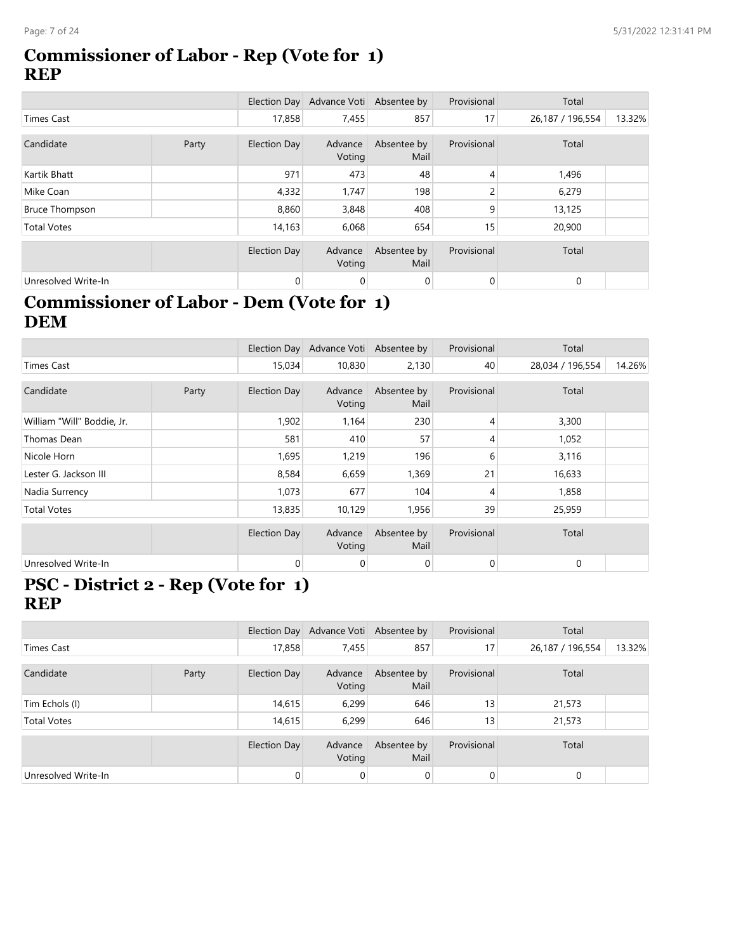#### **Commissioner of Labor - Rep (Vote for 1) REP**

|                       |       |              | Election Day Advance Voti Absentee by |                     | Provisional     | Total            |        |
|-----------------------|-------|--------------|---------------------------------------|---------------------|-----------------|------------------|--------|
| Times Cast            |       | 17,858       | 7,455                                 | 857                 | 17              | 26,187 / 196,554 | 13.32% |
| Candidate             | Party | Election Day | Advance<br>Voting                     | Absentee by<br>Mail | Provisional     | Total            |        |
| Kartik Bhatt          |       | 971          | 473                                   | 48                  | 4               | 1,496            |        |
| Mike Coan             |       | 4,332        | 1,747                                 | 198                 | 2               | 6,279            |        |
| <b>Bruce Thompson</b> |       | 8,860        | 3,848                                 | 408                 | 9               | 13,125           |        |
| <b>Total Votes</b>    |       | 14,163       | 6,068                                 | 654                 | 15 <sub>1</sub> | 20,900           |        |
|                       |       | Election Day | Advance<br>Voting                     | Absentee by<br>Mail | Provisional     | Total            |        |
| Unresolved Write-In   |       | $\mathbf{0}$ | 0                                     | 0                   | 0               | $\mathbf{0}$     |        |

### **Commissioner of Labor - Dem (Vote for 1) DEM**

|                            |       |                     | Election Day Advance Voti Absentee by |                     | Provisional    | Total            |        |
|----------------------------|-------|---------------------|---------------------------------------|---------------------|----------------|------------------|--------|
| <b>Times Cast</b>          |       | 15,034              | 10,830                                | 2,130               | 40             | 28,034 / 196,554 | 14.26% |
| Candidate                  | Party | <b>Election Day</b> | Advance<br>Voting                     | Absentee by<br>Mail | Provisional    | Total            |        |
| William "Will" Boddie, Jr. |       | 1,902               | 1,164                                 | 230                 | $\overline{4}$ | 3,300            |        |
| Thomas Dean                |       | 581                 | 410                                   | 57                  | $\overline{4}$ | 1,052            |        |
| Nicole Horn                |       | 1,695               | 1,219                                 | 196                 | 6              | 3,116            |        |
| Lester G. Jackson III      |       | 8,584               | 6,659                                 | 1,369               | 21             | 16,633           |        |
| Nadia Surrency             |       | 1,073               | 677                                   | 104                 | 4              | 1,858            |        |
| <b>Total Votes</b>         |       | 13,835              | 10,129                                | 1,956               | 39             | 25,959           |        |
|                            |       | Election Day        | Advance<br>Voting                     | Absentee by<br>Mail | Provisional    | Total            |        |
| Unresolved Write-In        |       | $\overline{0}$      | $\mathbf 0$                           | $\mathbf 0$         | $\mathbf 0$    | $\mathbf 0$      |        |

#### **PSC - District 2 - Rep (Vote for 1) REP**

|                     |       |                     | Election Day Advance Voti Absentee by |                     | Provisional     | Total            |        |
|---------------------|-------|---------------------|---------------------------------------|---------------------|-----------------|------------------|--------|
| <b>Times Cast</b>   |       | 17,858              | 7,455                                 | 857                 | 17              | 26,187 / 196,554 | 13.32% |
| Candidate           | Party | Election Day        | Advance<br>Voting                     | Absentee by<br>Mail | Provisional     | Total            |        |
| Tim Echols (I)      |       | 14,615              | 6,299                                 | 646                 | 13 <sub>1</sub> | 21,573           |        |
| <b>Total Votes</b>  |       | 14,615              | 6,299                                 | 646                 | 13 <sub>1</sub> | 21,573           |        |
|                     |       | <b>Election Day</b> | Advance<br>Voting                     | Absentee by<br>Mail | Provisional     | Total            |        |
| Unresolved Write-In |       | $\mathbf{0}$        | 0                                     | $\overline{0}$      | $\overline{0}$  | $\mathbf 0$      |        |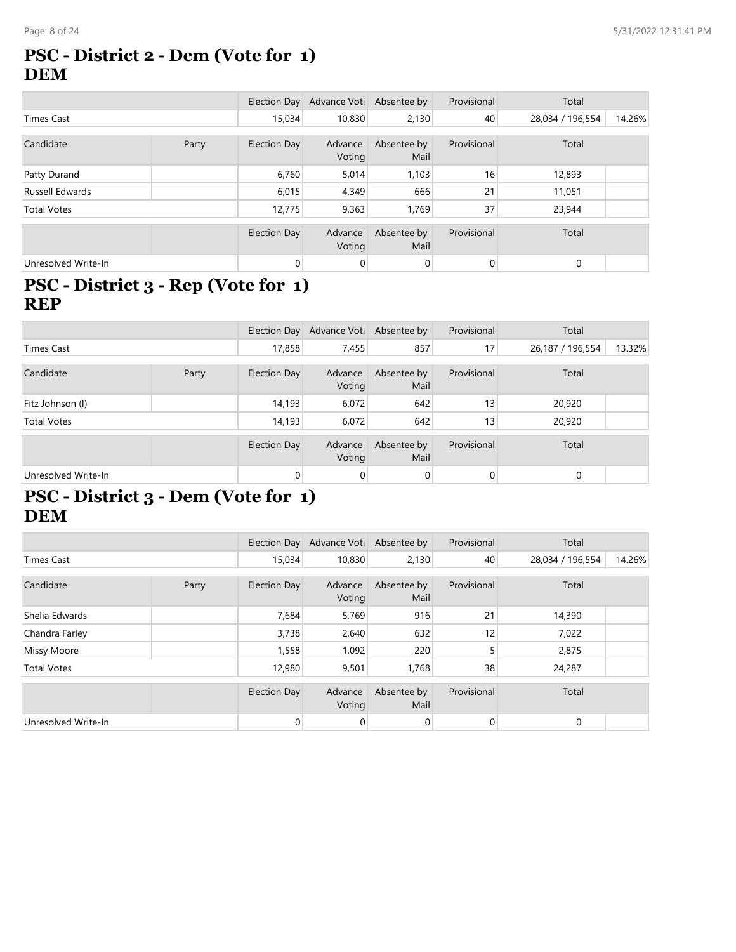#### **PSC - District 2 - Dem (Vote for 1) DEM**

|                     |       |                     | Election Day Advance Voti Absentee by |                     | Provisional    | Total            |        |
|---------------------|-------|---------------------|---------------------------------------|---------------------|----------------|------------------|--------|
| <b>Times Cast</b>   |       | 15,034              | 10,830                                | 2,130               | 40             | 28,034 / 196,554 | 14.26% |
| Candidate           | Party | Election Day        | Advance<br>Voting                     | Absentee by<br>Mail | Provisional    | Total            |        |
| Patty Durand        |       | 6,760               | 5,014                                 | 1,103               | 16             | 12,893           |        |
| Russell Edwards     |       | 6,015               | 4,349                                 | 666                 | 21             | 11,051           |        |
| <b>Total Votes</b>  |       | 12,775              | 9,363                                 | 1,769               | 37             | 23,944           |        |
|                     |       | <b>Election Day</b> | Advance<br>Voting                     | Absentee by<br>Mail | Provisional    | Total            |        |
| Unresolved Write-In |       | $\mathbf{0}$        | 0                                     | $\mathbf 0$         | $\overline{0}$ | $\mathbf{0}$     |        |

### **PSC - District 3 - Rep (Vote for 1) REP**

|                     |       |              | Election Day Advance Voti Absentee by |                     | Provisional | Total            |        |
|---------------------|-------|--------------|---------------------------------------|---------------------|-------------|------------------|--------|
| Times Cast          |       | 17,858       | 7,455                                 | 857                 | 17          | 26,187 / 196,554 | 13.32% |
| Candidate           | Party | Election Day | Advance<br>Voting                     | Absentee by<br>Mail | Provisional | Total            |        |
| Fitz Johnson (I)    |       | 14,193       | 6,072                                 | 642                 | 13          | 20,920           |        |
| <b>Total Votes</b>  |       | 14,193       | 6,072                                 | 642                 | 13          | 20,920           |        |
|                     |       | Election Day | Advance<br>Voting                     | Absentee by<br>Mail | Provisional | Total            |        |
| Unresolved Write-In |       | 0            | $\mathbf 0$                           | $\mathbf 0$         | $\mathbf 0$ | $\mathbf{0}$     |        |

### **PSC - District 3 - Dem (Vote for 1) DEM**

|                     |       |              | Election Day Advance Voti Absentee by |                     | Provisional    | Total            |        |
|---------------------|-------|--------------|---------------------------------------|---------------------|----------------|------------------|--------|
| Times Cast          |       | 15,034       | 10,830                                | 2,130               | 40             | 28,034 / 196,554 | 14.26% |
| Candidate           | Party | Election Day | Advance<br>Voting                     | Absentee by<br>Mail | Provisional    | Total            |        |
| Shelia Edwards      |       | 7,684        | 5,769                                 | 916                 | 21             | 14,390           |        |
| Chandra Farley      |       | 3,738        | 2,640                                 | 632                 | 12             | 7,022            |        |
| <b>Missy Moore</b>  |       | 1,558        | 1,092                                 | 220                 | 5              | 2,875            |        |
| <b>Total Votes</b>  |       | 12,980       | 9,501                                 | 1,768               | 38             | 24,287           |        |
|                     |       | Election Day | Advance<br>Voting                     | Absentee by<br>Mail | Provisional    | Total            |        |
| Unresolved Write-In |       | $\mathbf{0}$ | 0                                     | $\mathbf 0$         | $\overline{0}$ | $\mathbf 0$      |        |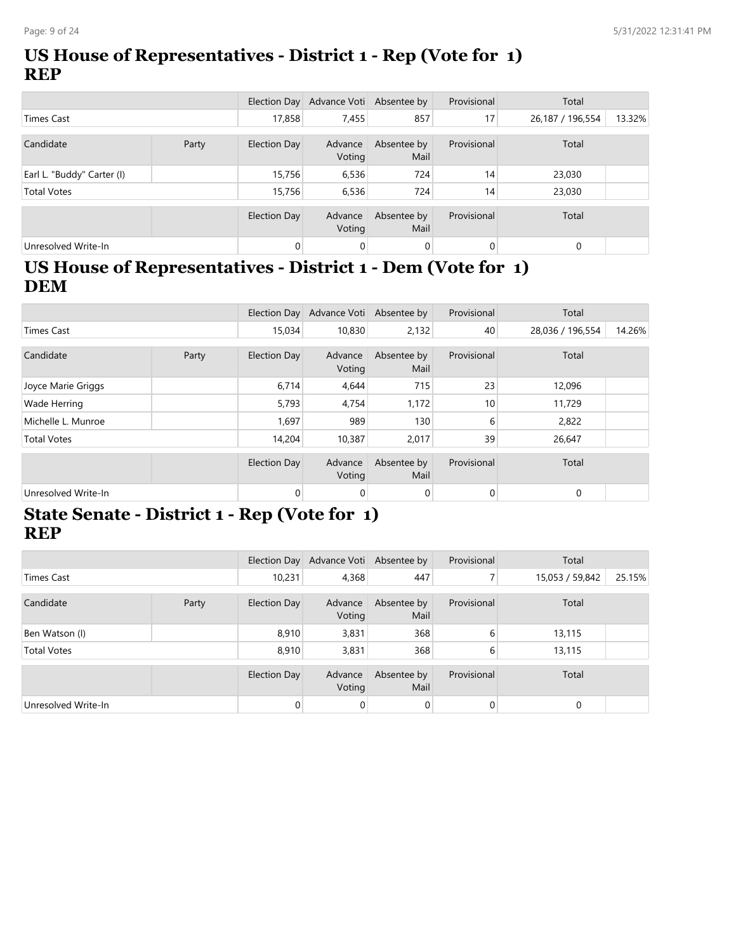### **US House of Representatives - District 1 - Rep (Vote for 1) REP**

|                            |       |              | Election Day Advance Voti Absentee by |                     | Provisional     | Total            |        |
|----------------------------|-------|--------------|---------------------------------------|---------------------|-----------------|------------------|--------|
| <b>Times Cast</b>          |       | 17,858       | 7,455                                 | 857                 | 17 <sub>1</sub> | 26,187 / 196,554 | 13.32% |
| Candidate                  | Party | Election Day | Advance<br>Voting                     | Absentee by<br>Mail | Provisional     | Total            |        |
| Earl L. "Buddy" Carter (I) |       | 15,756       | 6,536                                 | 724                 | 14              | 23,030           |        |
| <b>Total Votes</b>         |       | 15,756       | 6,536                                 | 724                 | 14              | 23,030           |        |
|                            |       | Election Day | Advance<br>Voting                     | Absentee by<br>Mail | Provisional     | Total            |        |
| Unresolved Write-In        |       | 0            | $\mathbf 0$                           | $\mathbf 0$         | $\overline{0}$  | $\mathbf{0}$     |        |

### **US House of Representatives - District 1 - Dem (Vote for 1) DEM**

|                     |       |                     | Election Day Advance Voti Absentee by |                     | Provisional    | Total            |        |
|---------------------|-------|---------------------|---------------------------------------|---------------------|----------------|------------------|--------|
| <b>Times Cast</b>   |       |                     | 10,830                                | 2,132               | 40             | 28,036 / 196,554 | 14.26% |
| Candidate           | Party | Election Day        | Advance<br>Voting                     | Absentee by<br>Mail | Provisional    | Total            |        |
| Joyce Marie Griggs  |       | 6,714               | 4,644                                 | 715                 | 23             | 12,096           |        |
| Wade Herring        |       | 5,793               | 4,754                                 | 1,172               | 10             | 11,729           |        |
| Michelle L. Munroe  |       | 1,697               | 989                                   | 130                 | 6              | 2,822            |        |
| <b>Total Votes</b>  |       | 14,204              | 10,387                                | 2,017               | 39             | 26,647           |        |
|                     |       | <b>Election Day</b> | Advance<br>Voting                     | Absentee by<br>Mail | Provisional    | Total            |        |
| Unresolved Write-In |       | $\mathbf{0}$        | 0                                     | 0                   | $\overline{0}$ | 0                |        |

#### **State Senate - District 1 - Rep (Vote for 1) REP**

|                     |       |              | Election Day Advance Voti Absentee by |                     | Provisional    | Total           |        |
|---------------------|-------|--------------|---------------------------------------|---------------------|----------------|-----------------|--------|
| Times Cast          |       | 10,231       | 4,368                                 | 447                 |                | 15,053 / 59,842 | 25.15% |
| Candidate           | Party | Election Day | Advance<br>Voting                     | Absentee by<br>Mail | Provisional    | Total           |        |
| Ben Watson (I)      |       | 8,910        | 3,831                                 | 368                 | 6              | 13,115          |        |
| <b>Total Votes</b>  |       | 8,910        | 3,831                                 | 368                 | 6              | 13,115          |        |
|                     |       | Election Day | Advance<br>Voting                     | Absentee by<br>Mail | Provisional    | Total           |        |
| Unresolved Write-In |       | 0            | 0                                     | 0                   | $\overline{0}$ | 0               |        |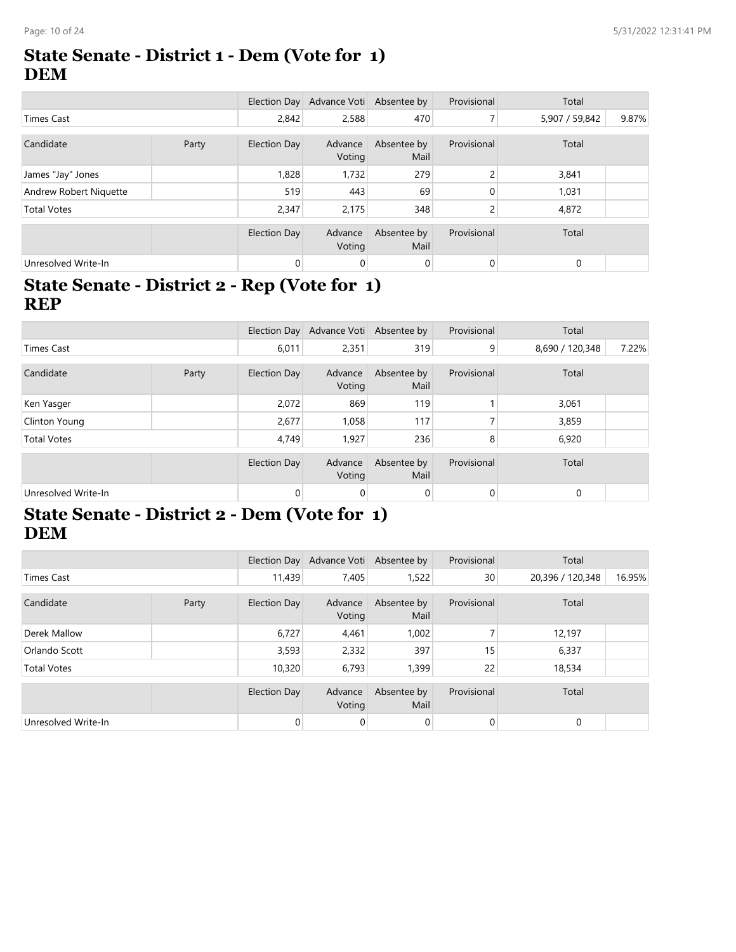#### **State Senate - District 1 - Dem (Vote for 1) DEM**

|                        |       |              | Election Day Advance Voti Absentee by |                     | Provisional  | Total          |       |
|------------------------|-------|--------------|---------------------------------------|---------------------|--------------|----------------|-------|
| <b>Times Cast</b>      |       | 2,842        | 2,588                                 | 470                 |              | 5,907 / 59,842 | 9.87% |
|                        |       |              |                                       |                     |              |                |       |
| Candidate              | Party | Election Day | Advance<br>Voting                     | Absentee by<br>Mail | Provisional  | Total          |       |
| James "Jay" Jones      |       | 1,828        | 1,732                                 | 279                 | 2            | 3,841          |       |
| Andrew Robert Niquette |       | 519          | 443                                   | 69                  | $\Omega$     | 1,031          |       |
| <b>Total Votes</b>     |       | 2,347        | 2,175                                 | 348                 | 2            | 4,872          |       |
|                        |       | Election Day | Advance<br>Voting                     | Absentee by<br>Mail | Provisional  | Total          |       |
| Unresolved Write-In    |       | $\mathbf{0}$ | $\mathbf 0$                           | 0                   | $\mathbf{0}$ | $\mathbf{0}$   |       |

### **State Senate - District 2 - Rep (Vote for 1) REP**

|                     |       |                | Election Day Advance Voti Absentee by |                     | Provisional  | Total           |       |
|---------------------|-------|----------------|---------------------------------------|---------------------|--------------|-----------------|-------|
| <b>Times Cast</b>   |       | 6,011          | 2,351                                 | 319                 | 9            | 8,690 / 120,348 | 7.22% |
| Candidate           | Party | Election Day   | Advance<br>Voting                     | Absentee by<br>Mail | Provisional  | Total           |       |
| Ken Yasger          |       | 2,072          | 869                                   | 119                 |              | 3,061           |       |
| Clinton Young       |       | 2,677          | 1.058                                 | 117                 |              | 3,859           |       |
| <b>Total Votes</b>  |       | 4,749          | 1,927                                 | 236                 | 8            | 6,920           |       |
|                     |       | Election Day   | Advance<br>Voting                     | Absentee by<br>Mail | Provisional  | Total           |       |
| Unresolved Write-In |       | $\overline{0}$ | $\mathbf 0$                           | 0                   | $\mathbf{0}$ | $\mathbf 0$     |       |

### **State Senate - District 2 - Dem (Vote for 1) DEM**

|                     |       |              | Election Day Advance Voti Absentee by |                     | Provisional     | Total            |        |
|---------------------|-------|--------------|---------------------------------------|---------------------|-----------------|------------------|--------|
| Times Cast          |       | 11,439       | 7,405                                 | 1,522               | 30 <sup>°</sup> | 20,396 / 120,348 | 16.95% |
| Candidate           | Party | Election Day | Advance<br>Voting                     | Absentee by<br>Mail | Provisional     | Total            |        |
| Derek Mallow        |       | 6,727        | 4,461                                 | 1,002               |                 | 12,197           |        |
| Orlando Scott       |       | 3,593        | 2,332                                 | 397                 | 15              | 6,337            |        |
| <b>Total Votes</b>  |       | 10,320       | 6,793                                 | 1,399               | 22              | 18,534           |        |
|                     |       | Election Day | Advance<br>Voting                     | Absentee by<br>Mail | Provisional     | Total            |        |
| Unresolved Write-In |       | $\mathbf{0}$ | 0                                     | 0                   | $\overline{0}$  | $\mathbf 0$      |        |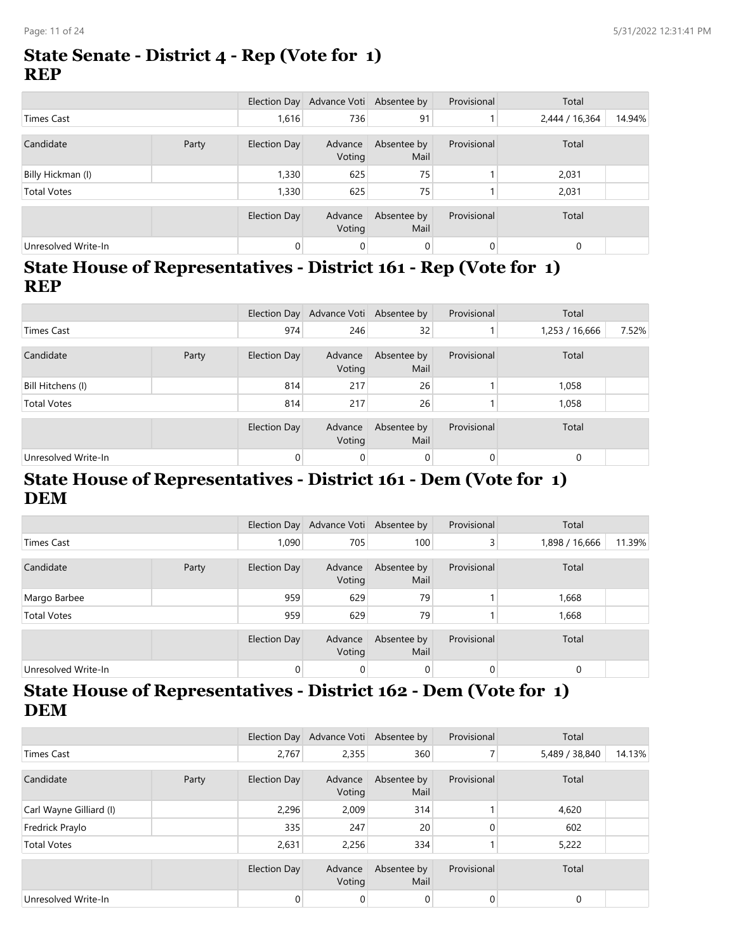#### **State Senate - District 4 - Rep (Vote for 1) REP**

|                     |       |              | Election Day Advance Voti Absentee by |                     | Provisional    | Total          |        |
|---------------------|-------|--------------|---------------------------------------|---------------------|----------------|----------------|--------|
| <b>Times Cast</b>   |       | 1,616        | 736                                   | 91                  |                | 2,444 / 16,364 | 14.94% |
| Candidate           | Party | Election Day | Advance<br>Voting                     | Absentee by<br>Mail | Provisional    | Total          |        |
| Billy Hickman (l)   |       | 1,330        | 625                                   | 75                  |                | 2,031          |        |
| <b>Total Votes</b>  |       | 1,330        | 625                                   | 75                  |                | 2,031          |        |
|                     |       | Election Day | Advance<br>Voting                     | Absentee by<br>Mail | Provisional    | Total          |        |
| Unresolved Write-In |       | $\mathbf{0}$ | 0                                     | 0                   | $\overline{0}$ | 0              |        |

### **State House of Representatives - District 161 - Rep (Vote for 1) REP**

|                     |       |              | Election Day Advance Voti Absentee by |                     | Provisional    | Total          |       |
|---------------------|-------|--------------|---------------------------------------|---------------------|----------------|----------------|-------|
| Times Cast          |       | 974          | 246                                   | 32                  |                | 1,253 / 16,666 | 7.52% |
| Candidate           | Party | Election Day | Advance<br>Voting                     | Absentee by<br>Mail | Provisional    | Total          |       |
| Bill Hitchens (I)   |       | 814          | 217                                   | 26                  |                | 1,058          |       |
| <b>Total Votes</b>  |       | 814          | 217                                   | 26                  |                | 1,058          |       |
|                     |       | Election Day | Advance<br>Voting                     | Absentee by<br>Mail | Provisional    | Total          |       |
| Unresolved Write-In |       | 0            | 0                                     | 0                   | $\overline{0}$ | $\Omega$       |       |

#### **State House of Representatives - District 161 - Dem (Vote for 1) DEM**

|                     |       |              | Election Day Advance Voti Absentee by |                     | Provisional    | Total          |        |
|---------------------|-------|--------------|---------------------------------------|---------------------|----------------|----------------|--------|
| Times Cast          |       | 1,090        | 705                                   | 100                 | 3 <sup>1</sup> | 1,898 / 16,666 | 11.39% |
| Candidate           | Party | Election Day | Advance<br>Voting                     | Absentee by<br>Mail | Provisional    | Total          |        |
| Margo Barbee        |       | 959          | 629                                   | 79                  |                | 1,668          |        |
| <b>Total Votes</b>  |       | 959          | 629                                   | 79                  |                | 1,668          |        |
|                     |       | Election Day | Advance<br>Voting                     | Absentee by<br>Mail | Provisional    | Total          |        |
| Unresolved Write-In |       | 0            | 0                                     | $\mathbf 0$         | 0              | $\mathbf 0$    |        |

### **State House of Representatives - District 162 - Dem (Vote for 1) DEM**

|                         |       |              | Election Day Advance Voti Absentee by |                     | Provisional    | Total          |        |
|-------------------------|-------|--------------|---------------------------------------|---------------------|----------------|----------------|--------|
| <b>Times Cast</b>       |       | 2,767        | 2,355                                 | 360                 | 7              | 5,489 / 38,840 | 14.13% |
|                         |       |              |                                       |                     |                |                |        |
| Candidate               | Party | Election Day | Advance<br>Voting                     | Absentee by<br>Mail | Provisional    | Total          |        |
| Carl Wayne Gilliard (I) |       | 2,296        | 2,009                                 | 314                 |                | 4,620          |        |
| Fredrick Praylo         |       |              | 247                                   | 20 <sup>1</sup>     | 0              | 602            |        |
| <b>Total Votes</b>      |       | 2,631        | 2,256                                 | 334                 |                | 5,222          |        |
|                         |       |              |                                       |                     |                |                |        |
|                         |       | Election Day | Advance<br>Voting                     | Absentee by<br>Mail | Provisional    | Total          |        |
| Unresolved Write-In     |       | 0            | 0                                     | 0                   | $\overline{0}$ | 0              |        |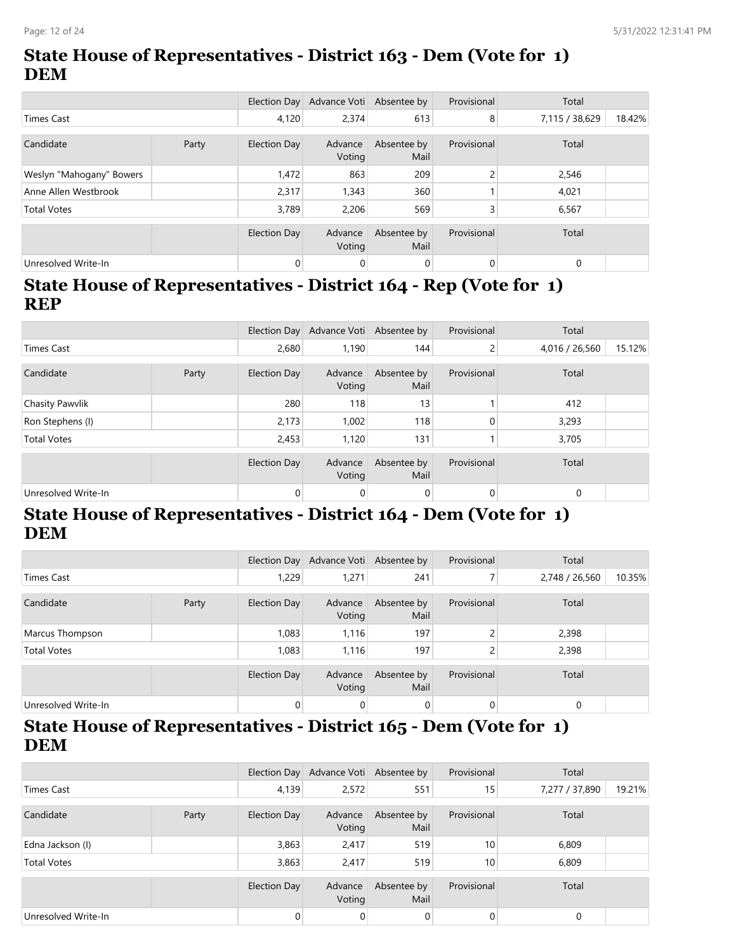### **State House of Representatives - District 163 - Dem (Vote for 1) DEM**

|                          |       |                     | Election Day Advance Voti Absentee by |                     | Provisional    | Total          |        |
|--------------------------|-------|---------------------|---------------------------------------|---------------------|----------------|----------------|--------|
| <b>Times Cast</b>        |       | 4,120               | 2.374                                 | 613                 | 8              | 7,115 / 38,629 | 18.42% |
| Candidate                | Party | Election Day        | Advance<br>Voting                     | Absentee by<br>Mail | Provisional    | Total          |        |
| Weslyn "Mahogany" Bowers |       | 1,472               | 863                                   | 209                 | $\mathcal{L}$  | 2,546          |        |
| Anne Allen Westbrook     |       | 2,317               | 1,343                                 | 360                 |                | 4,021          |        |
| <b>Total Votes</b>       |       | 3.789               | 2.206                                 | 569                 | 3              | 6,567          |        |
|                          |       | <b>Election Day</b> | Advance<br>Voting                     | Absentee by<br>Mail | Provisional    | Total          |        |
| Unresolved Write-In      |       | 0                   | $\mathbf{0}$                          | 0                   | $\overline{0}$ | $\mathbf 0$    |        |

#### **State House of Representatives - District 164 - Rep (Vote for 1) REP**

|                     |       |              | Election Day Advance Voti Absentee by |                     | Provisional    | Total          |        |
|---------------------|-------|--------------|---------------------------------------|---------------------|----------------|----------------|--------|
| Times Cast          |       | 2,680        | 1,190                                 | 144                 | $\overline{2}$ | 4,016 / 26,560 | 15.12% |
| Candidate           | Party | Election Day | Advance<br>Voting                     | Absentee by<br>Mail | Provisional    | Total          |        |
| Chasity Pawvlik     |       | 280          | 118                                   | 13                  |                | 412            |        |
| Ron Stephens (I)    |       | 2,173        | 1,002                                 | 118                 | 0              | 3,293          |        |
| <b>Total Votes</b>  |       | 2,453        | 1,120                                 | 131                 |                | 3,705          |        |
|                     |       | Election Day | Advance<br>Voting                     | Absentee by<br>Mail | Provisional    | Total          |        |
| Unresolved Write-In |       | 0            | 0                                     | 0                   | 0              | $\mathbf{0}$   |        |

#### **State House of Representatives - District 164 - Dem (Vote for 1) DEM**

|                     |       |                     | Election Day Advance Voti Absentee by |                     | Provisional | Total          |        |
|---------------------|-------|---------------------|---------------------------------------|---------------------|-------------|----------------|--------|
| Times Cast          |       | 1,229               | 1,271                                 | 241                 |             | 2,748 / 26,560 | 10.35% |
| Candidate           | Party | Election Day        | Advance<br>Voting                     | Absentee by<br>Mail | Provisional | Total          |        |
| Marcus Thompson     |       | 1,083               | 1,116                                 | 197                 | C.          | 2,398          |        |
| <b>Total Votes</b>  |       | 1,083               | 1,116                                 | 197                 | C.<br>ے     | 2,398          |        |
|                     |       | <b>Election Day</b> | Advance<br>Voting                     | Absentee by<br>Mail | Provisional | Total          |        |
| Unresolved Write-In |       | $\overline{0}$      | $\mathbf 0$                           | $\mathbf 0$         | 0           | $\mathbf 0$    |        |

#### **State House of Representatives - District 165 - Dem (Vote for 1) DEM**

|                     |       |                     | Election Day Advance Voti Absentee by |                     | Provisional | Total          |        |
|---------------------|-------|---------------------|---------------------------------------|---------------------|-------------|----------------|--------|
| Times Cast          |       | 4,139               | 2,572                                 | 551                 | 15          | 7,277 / 37,890 | 19.21% |
| Candidate           | Party | Election Day        | Advance<br>Voting                     | Absentee by<br>Mail | Provisional | Total          |        |
| Edna Jackson (I)    |       | 3,863               | 2,417                                 | 519                 | 10          | 6,809          |        |
| <b>Total Votes</b>  |       | 3,863               | 2,417                                 | 519                 | 10          | 6,809          |        |
|                     |       | <b>Election Day</b> | Advance<br>Voting                     | Absentee by<br>Mail | Provisional | Total          |        |
| Unresolved Write-In |       | $\mathbf{0}$        | 0                                     | 0                   | $\Omega$    | $\mathbf 0$    |        |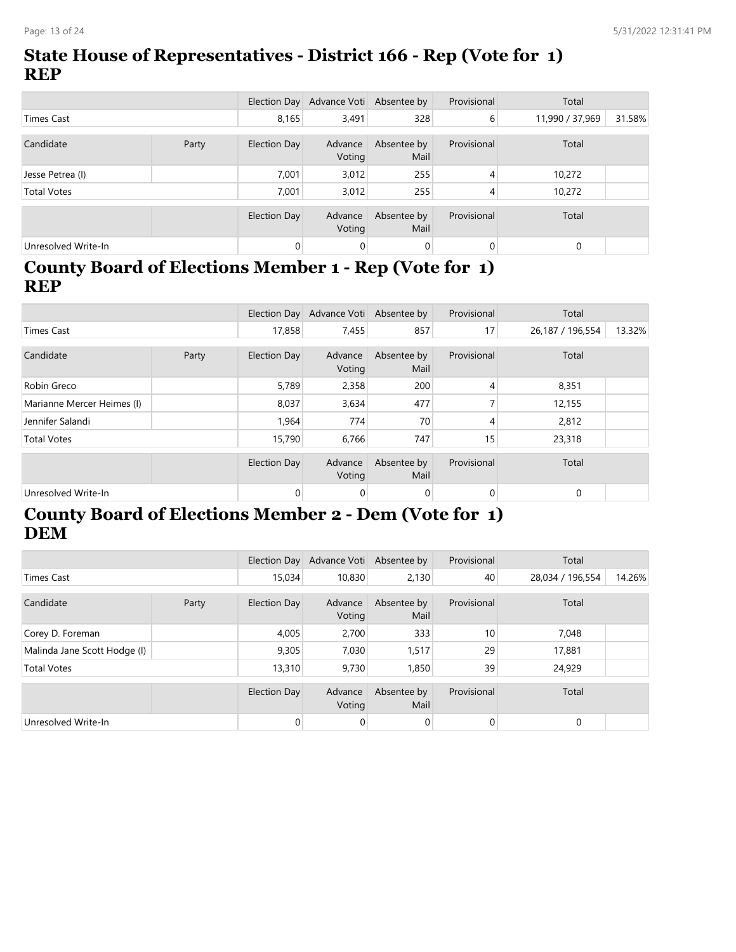### **State House of Representatives - District 166 - Rep (Vote for 1) REP**

|                     |       |              | Election Day Advance Voti Absentee by |                     | Provisional | Total           |        |
|---------------------|-------|--------------|---------------------------------------|---------------------|-------------|-----------------|--------|
| <b>Times Cast</b>   |       | 8,165        | 3,491                                 | 328                 | 6           | 11,990 / 37,969 | 31.58% |
| Candidate           | Party | Election Day | Advance<br>Voting                     | Absentee by<br>Mail | Provisional | Total           |        |
| Jesse Petrea (I)    |       | 7.001        | 3,012                                 | 255                 | 4           | 10,272          |        |
| <b>Total Votes</b>  |       | 7.001        | 3,012                                 | 255                 | 4           | 10,272          |        |
|                     |       | Election Day | Advance<br>Voting                     | Absentee by<br>Mail | Provisional | Total           |        |
| Unresolved Write-In |       | 0            | $\mathbf 0$                           | $\mathbf 0$         | $\mathbf 0$ | $\Omega$        |        |

#### **County Board of Elections Member 1 - Rep (Vote for 1) REP**

|                            |  |                     | Election Day Advance Voti Absentee by |                     | Provisional | Total            |        |
|----------------------------|--|---------------------|---------------------------------------|---------------------|-------------|------------------|--------|
| Times Cast                 |  | 17,858              | 7,455                                 | 857                 | 17          | 26,187 / 196,554 | 13.32% |
| Candidate<br>Party         |  | <b>Election Day</b> | Advance<br>Voting                     | Absentee by<br>Mail | Provisional | Total            |        |
| Robin Greco                |  | 5,789               | 2,358                                 | 200                 | 4           | 8,351            |        |
| Marianne Mercer Heimes (I) |  | 8,037               | 3,634                                 | 477                 |             | 12,155           |        |
| Jennifer Salandi           |  | 1,964               | 774                                   | 70                  |             | 2,812            |        |
| <b>Total Votes</b>         |  | 15,790              | 6,766                                 | 747                 | 15          | 23,318           |        |
|                            |  | <b>Election Day</b> | Advance<br>Voting                     | Absentee by<br>Mail | Provisional | Total            |        |
| Unresolved Write-In        |  | 0                   | $\mathbf{0}$                          | 0                   | 0           | $\mathbf{0}$     |        |

### **County Board of Elections Member 2 - Dem (Vote for 1) DEM**

|                              |       |              | Election Day Advance Voti Absentee by |                     | Provisional    | Total            |        |
|------------------------------|-------|--------------|---------------------------------------|---------------------|----------------|------------------|--------|
| Times Cast                   |       | 15,034       | 10,830                                | 2,130               | 40             | 28,034 / 196,554 | 14.26% |
| Candidate                    | Party | Election Day | Advance<br>Voting                     | Absentee by<br>Mail | Provisional    | Total            |        |
| Corey D. Foreman             |       | 4,005        | 2.700                                 | 333                 | 10             | 7,048            |        |
| Malinda Jane Scott Hodge (I) |       | 9,305        | 7.030                                 | 1,517               | 29             | 17,881           |        |
| <b>Total Votes</b>           |       | 13,310       | 9.730                                 | 1,850               | 39             | 24,929           |        |
|                              |       | Election Day | Advance<br>Voting                     | Absentee by<br>Mail | Provisional    | Total            |        |
| Unresolved Write-In          |       | $\mathbf{0}$ | 0                                     | 0                   | $\overline{0}$ | $\mathbf{0}$     |        |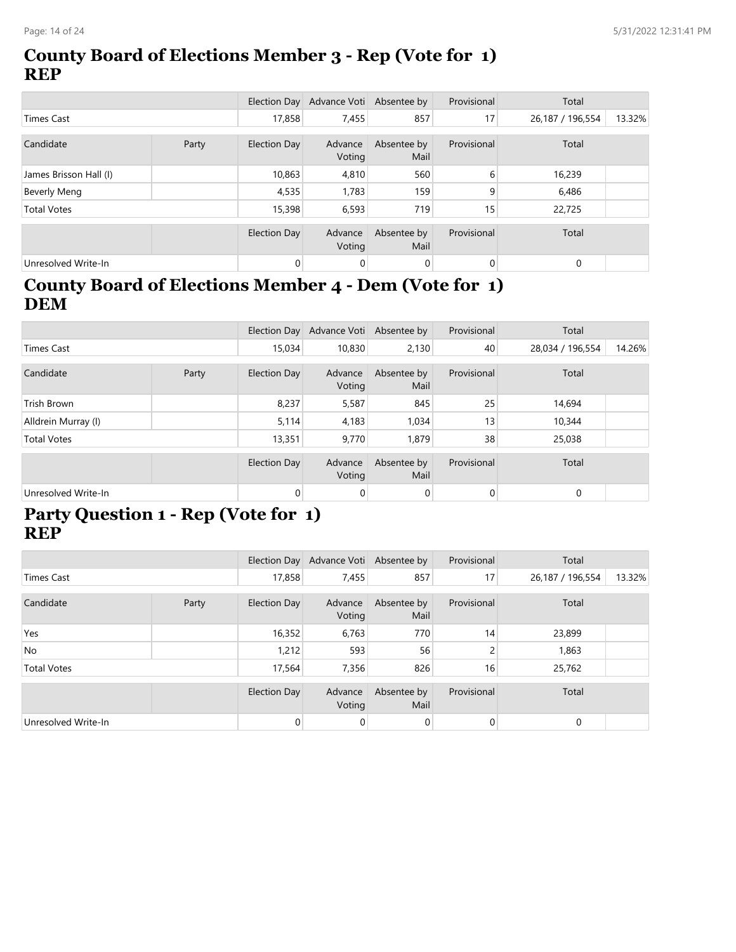#### **County Board of Elections Member 3 - Rep (Vote for 1) REP**

|                        |       |                     | Election Day Advance Voti Absentee by |                     | Provisional    | Total            |        |
|------------------------|-------|---------------------|---------------------------------------|---------------------|----------------|------------------|--------|
| Times Cast             |       | 17,858              | 7,455                                 | 857                 | 17             | 26,187 / 196,554 | 13.32% |
| Candidate              | Party | Election Day        | Advance<br>Voting                     | Absentee by<br>Mail | Provisional    | Total            |        |
| James Brisson Hall (I) |       | 10,863              | 4,810                                 | 560                 | 6              | 16,239           |        |
| Beverly Meng           |       | 4,535               | 1,783                                 | 159                 | 9              | 6,486            |        |
| <b>Total Votes</b>     |       | 15,398              | 6,593                                 | 719                 | 15             | 22,725           |        |
|                        |       | <b>Election Day</b> | Advance<br>Voting                     | Absentee by<br>Mail | Provisional    | Total            |        |
| Unresolved Write-In    |       | $\mathbf{0}$        | 0                                     | 0                   | $\overline{0}$ | $\mathbf{0}$     |        |

### **County Board of Elections Member 4 - Dem (Vote for 1) DEM**

|                     |       |                     | Election Day Advance Voti Absentee by |                     | Provisional    | Total            |        |
|---------------------|-------|---------------------|---------------------------------------|---------------------|----------------|------------------|--------|
| <b>Times Cast</b>   |       | 15,034              | 10,830                                | 2,130               | 40             | 28,034 / 196,554 | 14.26% |
|                     |       |                     |                                       |                     |                |                  |        |
| Candidate           | Party | <b>Election Day</b> | Advance<br>Voting                     | Absentee by<br>Mail | Provisional    | Total            |        |
| Trish Brown         |       | 8,237               | 5,587                                 | 845                 | 25             | 14,694           |        |
| Alldrein Murray (I) |       | 5,114               | 4,183                                 | 1,034               | 13             | 10,344           |        |
| <b>Total Votes</b>  |       | 13,351              | 9,770                                 | 1,879               | 38             | 25,038           |        |
|                     |       | Election Day        | Advance                               | Absentee by         | Provisional    | Total            |        |
|                     |       |                     | Voting                                | Mail                |                |                  |        |
| Unresolved Write-In |       | 0                   | 0                                     | 0                   | $\overline{0}$ | $\mathbf{0}$     |        |

#### **Party Question 1 - Rep (Vote for 1) REP**

|                     |  |                | Election Day Advance Voti Absentee by |                     | Provisional     | Total            |        |
|---------------------|--|----------------|---------------------------------------|---------------------|-----------------|------------------|--------|
| Times Cast          |  | 17,858         | 7,455                                 | 857                 | 17 <sub>1</sub> | 26,187 / 196,554 | 13.32% |
| Candidate<br>Party  |  | Election Day   | Advance<br>Voting                     | Absentee by<br>Mail | Provisional     | Total            |        |
| Yes                 |  | 16,352         | 6,763                                 | 770                 | 14 <sub>1</sub> | 23,899           |        |
| No                  |  | 1,212          | 593                                   | 56                  | 2               | 1,863            |        |
| <b>Total Votes</b>  |  | 17,564         | 7,356                                 | 826                 | 16              | 25,762           |        |
|                     |  | Election Day   | Advance<br>Voting                     | Absentee by<br>Mail | Provisional     | Total            |        |
| Unresolved Write-In |  | $\overline{0}$ | 0                                     | $\overline{0}$      | $\overline{0}$  | $\mathbf{0}$     |        |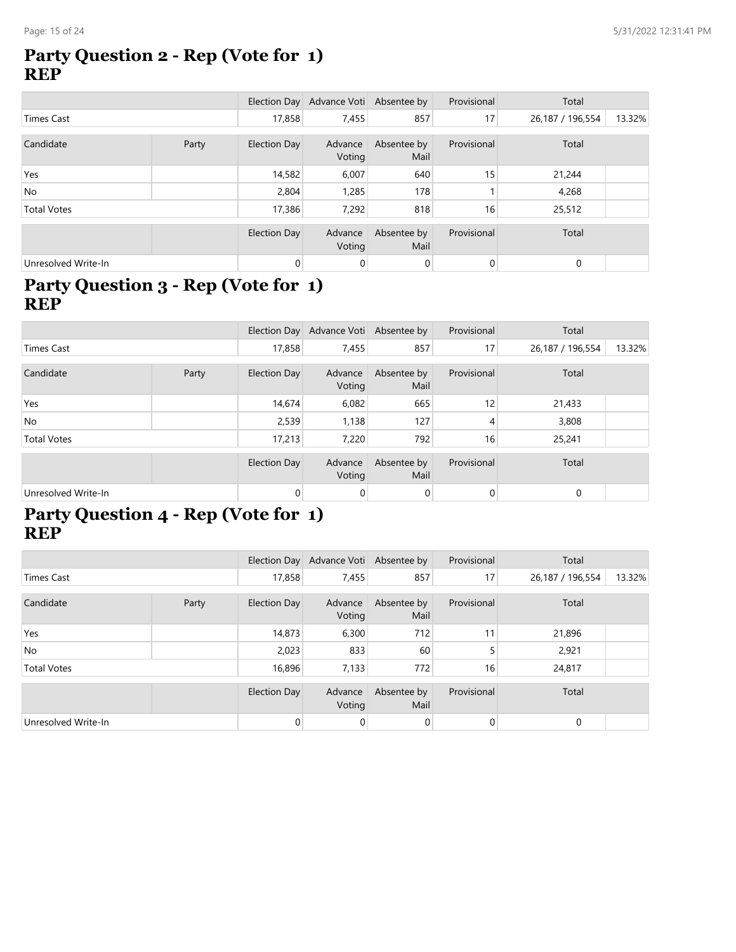#### **Party Question 2 - Rep (Vote for 1) REP**

|                     |       |              | Election Day Advance Voti Absentee by |                     | Provisional    | Total            |        |
|---------------------|-------|--------------|---------------------------------------|---------------------|----------------|------------------|--------|
| Times Cast          |       | 17,858       | 7,455                                 | 857                 | 17             | 26,187 / 196,554 | 13.32% |
| Candidate           | Party | Election Day | Advance<br>Voting                     | Absentee by<br>Mail | Provisional    | Total            |        |
| Yes                 |       | 14,582       | 6,007                                 | 640                 | 15             | 21,244           |        |
| <b>No</b>           |       | 2,804        | 1,285                                 | 178                 |                | 4,268            |        |
| <b>Total Votes</b>  |       | 17,386       | 7,292                                 | 818                 | 16             | 25,512           |        |
|                     |       | Election Day | Advance<br>Voting                     | Absentee by<br>Mail | Provisional    | Total            |        |
| Unresolved Write-In |       | $\mathbf{0}$ | 0                                     | 0                   | $\overline{0}$ | $\mathbf{0}$     |        |

### **Party Question 3 - Rep (Vote for 1) REP**

|                     |       |              | Election Day Advance Voti Absentee by |                     | Provisional | Total            |        |
|---------------------|-------|--------------|---------------------------------------|---------------------|-------------|------------------|--------|
| <b>Times Cast</b>   |       | 17,858       | 7,455                                 | 857                 | 17          | 26,187 / 196,554 | 13.32% |
| Candidate           | Party | Election Day | Advance<br>Voting                     | Absentee by<br>Mail | Provisional | Total            |        |
| Yes                 |       | 14,674       | 6,082                                 | 665                 | 12          | 21,433           |        |
| No                  |       | 2,539        | 1,138                                 | 127                 | 4           | 3,808            |        |
| <b>Total Votes</b>  |       | 17,213       | 7,220                                 | 792                 | 16          | 25,241           |        |
|                     |       | Election Day | Advance<br>Voting                     | Absentee by<br>Mail | Provisional | Total            |        |
| Unresolved Write-In |       | $\mathbf{0}$ | $\mathbf 0$                           | $\mathbf 0$         | 0           | $\mathbf 0$      |        |

#### **Party Question 4 - Rep (Vote for 1) REP**

|                     |       |                     | Election Day Advance Voti Absentee by |                     | Provisional    | Total            |        |
|---------------------|-------|---------------------|---------------------------------------|---------------------|----------------|------------------|--------|
| Times Cast          |       | 17,858              | 7,455                                 | 857                 | 17             | 26,187 / 196,554 | 13.32% |
| Candidate           | Party | Election Day        | Advance<br>Voting                     | Absentee by<br>Mail | Provisional    | Total            |        |
| Yes                 |       | 14,873              | 6,300                                 | 712                 | 11             | 21,896           |        |
| No                  |       | 2,023               | 833                                   | 60                  |                | 2,921            |        |
| <b>Total Votes</b>  |       | 16,896              | 7,133                                 | 772                 | 16             | 24,817           |        |
|                     |       | <b>Election Day</b> | Advance<br>Voting                     | Absentee by<br>Mail | Provisional    | Total            |        |
| Unresolved Write-In |       | $\mathbf{0}$        | 0                                     | $\overline{0}$      | $\overline{0}$ | $\mathbf{0}$     |        |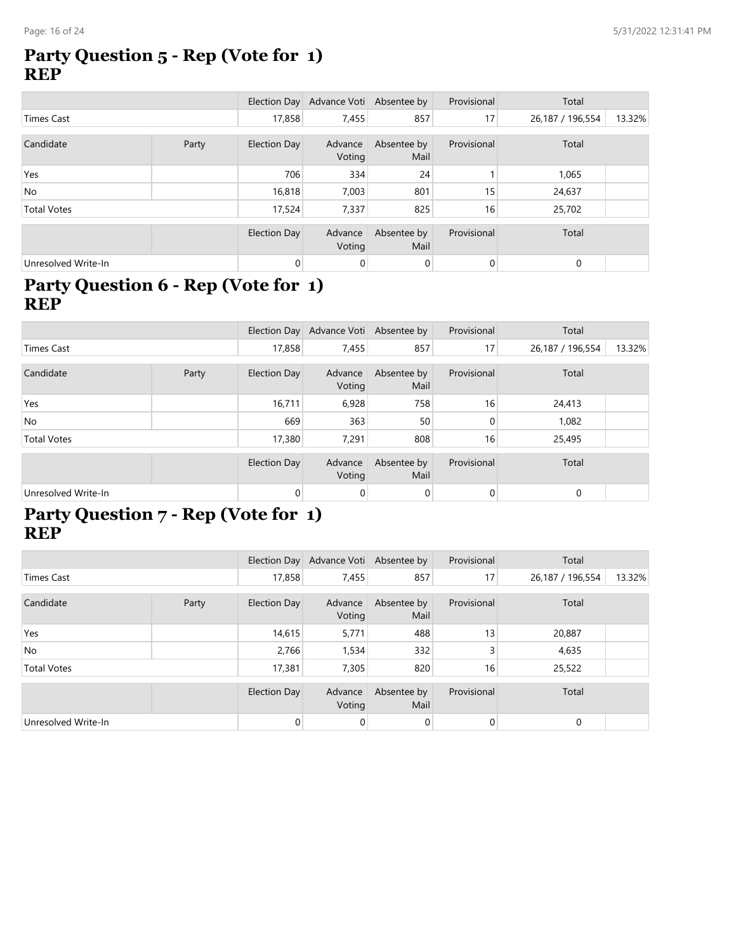#### **Party Question 5 - Rep (Vote for 1) REP**

|                     |       |              | Election Day Advance Voti Absentee by |                     | Provisional    | Total            |        |
|---------------------|-------|--------------|---------------------------------------|---------------------|----------------|------------------|--------|
| Times Cast          |       | 17,858       | 7,455                                 | 857                 | 17             | 26,187 / 196,554 | 13.32% |
| Candidate           | Party | Election Day | Advance<br>Voting                     | Absentee by<br>Mail | Provisional    | Total            |        |
| Yes                 |       | 706          | 334                                   | 24                  |                | 1,065            |        |
| <b>No</b>           |       | 16,818       | 7,003                                 | 801                 | 15             | 24,637           |        |
| <b>Total Votes</b>  |       | 17,524       | 7,337                                 | 825                 | 16             | 25,702           |        |
|                     |       | Election Day | Advance<br>Voting                     | Absentee by<br>Mail | Provisional    | Total            |        |
| Unresolved Write-In |       | 0            | 0                                     | $\mathbf{0}$        | $\overline{0}$ | $\mathbf 0$      |        |

### **Party Question 6 - Rep (Vote for 1) REP**

|                     |       |              | Election Day Advance Voti Absentee by |                     | Provisional  | Total            |        |
|---------------------|-------|--------------|---------------------------------------|---------------------|--------------|------------------|--------|
| <b>Times Cast</b>   |       | 17,858       | 7,455                                 | 857                 | 17           | 26,187 / 196,554 | 13.32% |
| Candidate           | Party | Election Day | Advance<br>Voting                     | Absentee by<br>Mail | Provisional  | Total            |        |
| Yes                 |       | 16,711       | 6,928                                 | 758                 | 16           | 24,413           |        |
| <b>No</b>           |       | 669          | 363                                   | 50                  | $\Omega$     | 1,082            |        |
| <b>Total Votes</b>  |       | 17,380       | 7,291                                 | 808                 | 16           | 25,495           |        |
|                     |       | Election Day | Advance<br>Voting                     | Absentee by<br>Mail | Provisional  | Total            |        |
| Unresolved Write-In |       | 0            | 0                                     | $\mathbf{0}$        | $\mathbf{0}$ | $\mathbf{0}$     |        |

#### **Party Question 7 - Rep (Vote for 1) REP**

|                     |       |                     | Election Day Advance Voti Absentee by |                     | Provisional    | Total            |        |
|---------------------|-------|---------------------|---------------------------------------|---------------------|----------------|------------------|--------|
| Times Cast          |       | 17,858              | 7,455                                 | 857                 | 17             | 26,187 / 196,554 | 13.32% |
| Candidate           | Party | Election Day        | Advance<br>Voting                     | Absentee by<br>Mail | Provisional    | Total            |        |
| Yes                 |       | 14,615              | 5,771                                 | 488                 | 13             | 20,887           |        |
| No                  |       | 2,766               | 1,534                                 | 332                 | 3              | 4,635            |        |
| <b>Total Votes</b>  |       | 17,381              | 7,305                                 | 820                 | 16             | 25,522           |        |
|                     |       | <b>Election Day</b> | Advance<br>Voting                     | Absentee by<br>Mail | Provisional    | Total            |        |
| Unresolved Write-In |       | $\mathbf{0}$        | 0                                     | $\overline{0}$      | $\overline{0}$ | $\mathbf{0}$     |        |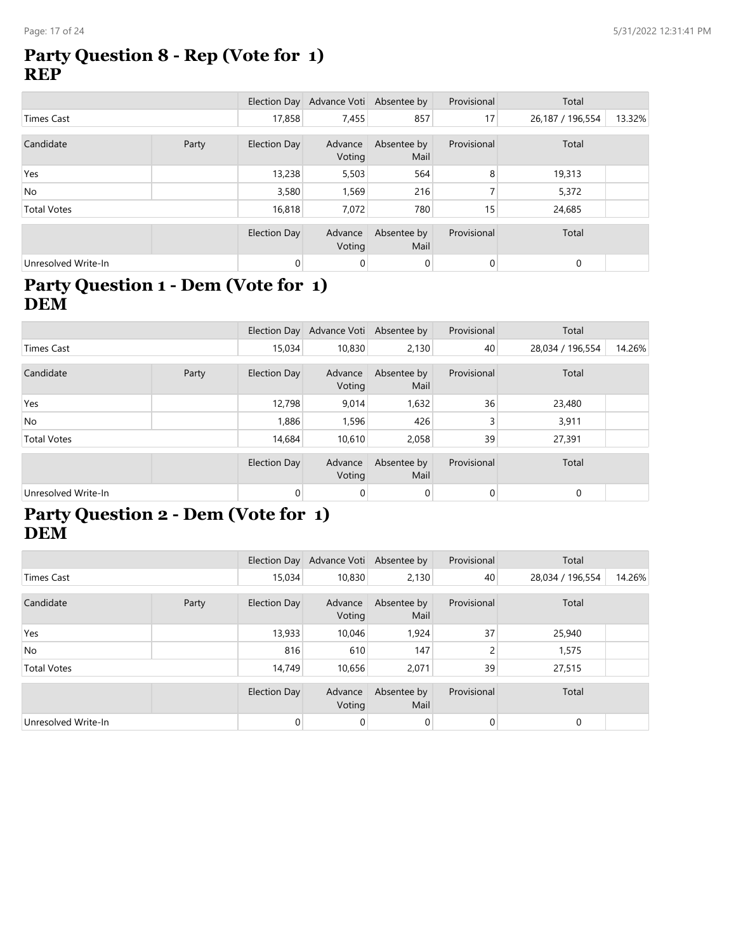#### **Party Question 8 - Rep (Vote for 1) REP**

|                     |  |              | Election Day Advance Voti Absentee by |                     | Provisional     | Total            |        |
|---------------------|--|--------------|---------------------------------------|---------------------|-----------------|------------------|--------|
| <b>Times Cast</b>   |  | 17,858       | 7,455                                 | 857                 | 17              | 26,187 / 196,554 | 13.32% |
| Candidate<br>Party  |  | Election Day | Advance<br>Voting                     | Absentee by<br>Mail | Provisional     | Total            |        |
| Yes                 |  | 13,238       | 5,503                                 | 564                 | 8               | 19,313           |        |
| <b>No</b>           |  | 3,580        | 1,569                                 | 216                 |                 | 5,372            |        |
| <b>Total Votes</b>  |  | 16,818       | 7,072                                 | 780                 | 15 <sub>1</sub> | 24,685           |        |
|                     |  | Election Day | Advance<br>Voting                     | Absentee by<br>Mail | Provisional     | Total            |        |
| Unresolved Write-In |  | $\mathbf{0}$ | 0                                     | $\mathbf{0}$        | $\overline{0}$  | $\mathbf{0}$     |        |

### **Party Question 1 - Dem (Vote for 1) DEM**

|                     |       |              | Election Day Advance Voti Absentee by |                     | Provisional    | Total            |        |
|---------------------|-------|--------------|---------------------------------------|---------------------|----------------|------------------|--------|
| <b>Times Cast</b>   |       | 15,034       | 10,830                                | 2,130               | 40             | 28,034 / 196,554 | 14.26% |
|                     |       |              |                                       |                     |                |                  |        |
| Candidate           | Party | Election Day | Advance<br>Voting                     | Absentee by<br>Mail | Provisional    | Total            |        |
| Yes                 |       | 12,798       | 9,014                                 | 1,632               | 36             | 23,480           |        |
| <b>No</b>           |       | 1,886        | 1,596                                 | 426                 | 3              | 3,911            |        |
| <b>Total Votes</b>  |       | 14.684       | 10,610                                | 2,058               | 39             | 27,391           |        |
|                     |       | Election Day | Advance<br>Voting                     | Absentee by<br>Mail | Provisional    | Total            |        |
| Unresolved Write-In |       | 0            | 0                                     | 0                   | $\overline{0}$ | $\mathbf{0}$     |        |

#### **Party Question 2 - Dem (Vote for 1) DEM**

|                     |  |                | Election Day Advance Voti Absentee by |                     | Provisional    | Total            |        |
|---------------------|--|----------------|---------------------------------------|---------------------|----------------|------------------|--------|
| <b>Times Cast</b>   |  | 15,034         | 10,830                                | 2,130               | 40             | 28,034 / 196,554 | 14.26% |
| Candidate<br>Party  |  | Election Day   | Advance<br>Voting                     | Absentee by<br>Mail | Provisional    | Total            |        |
| Yes                 |  | 13,933         | 10,046                                | 1,924               | 37             | 25,940           |        |
| No                  |  | 816            | 610                                   | 147                 | 2              | 1,575            |        |
| <b>Total Votes</b>  |  | 14,749         | 10,656                                | 2,071               | 39             | 27,515           |        |
|                     |  | Election Day   | Advance<br>Voting                     | Absentee by<br>Mail | Provisional    | Total            |        |
| Unresolved Write-In |  | $\overline{0}$ | 0                                     | $\overline{0}$      | $\overline{0}$ | $\mathbf{0}$     |        |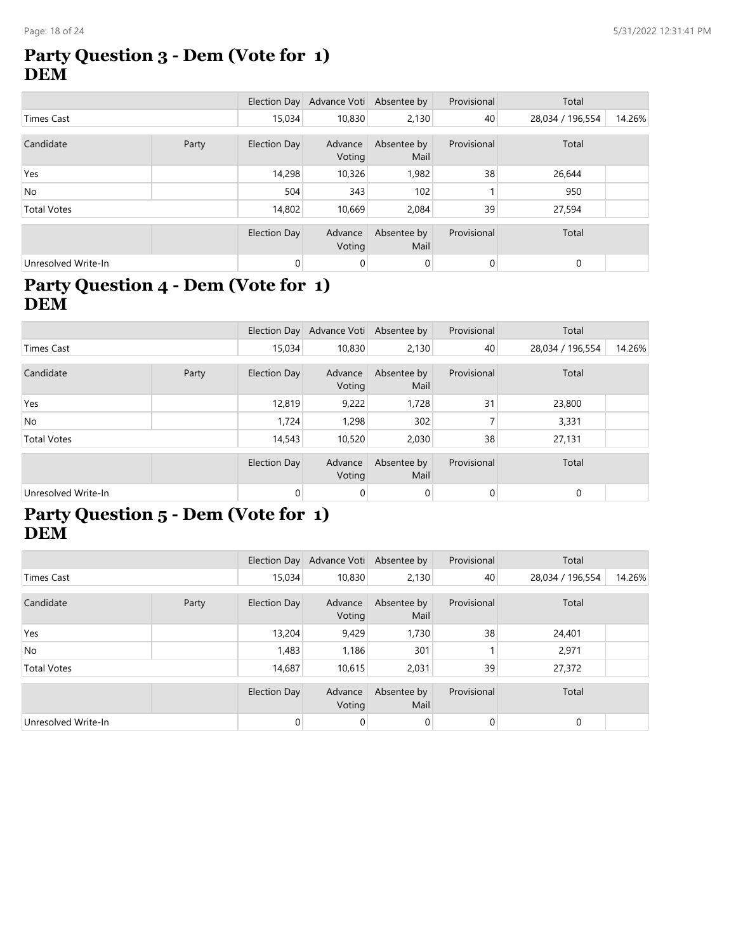#### **Party Question 3 - Dem (Vote for 1) DEM**

|                     |       |                     | Election Day Advance Voti Absentee by |                     | Provisional    | Total            |        |
|---------------------|-------|---------------------|---------------------------------------|---------------------|----------------|------------------|--------|
| Times Cast          |       | 15,034              | 10,830                                | 2,130               | 40             | 28,034 / 196,554 | 14.26% |
|                     |       |                     |                                       |                     |                |                  |        |
| Candidate           | Party | Election Day        | Advance<br>Voting                     | Absentee by<br>Mail | Provisional    | Total            |        |
| Yes                 |       | 14,298              | 10,326                                | 1,982               | 38             | 26,644           |        |
| <b>No</b>           |       | 504                 | 343                                   | 102                 |                | 950              |        |
| <b>Total Votes</b>  |       | 14,802              | 10,669                                | 2,084               | 39             | 27,594           |        |
|                     |       | <b>Election Day</b> | Advance<br>Voting                     | Absentee by<br>Mail | Provisional    | Total            |        |
| Unresolved Write-In |       | $\mathbf{0}$        | 0                                     | 0                   | $\overline{0}$ | $\mathbf{0}$     |        |

#### **Party Question 4 - Dem (Vote for 1) DEM**

|                     |       |              | Election Day Advance Voti Absentee by |                     | Provisional    | Total            |        |
|---------------------|-------|--------------|---------------------------------------|---------------------|----------------|------------------|--------|
| <b>Times Cast</b>   |       | 15,034       | 10,830                                | 2,130               | 40             | 28,034 / 196,554 | 14.26% |
|                     |       |              |                                       |                     |                |                  |        |
| Candidate           | Party | Election Day | Advance<br>Voting                     | Absentee by<br>Mail | Provisional    | Total            |        |
| Yes                 |       | 12,819       | 9,222                                 | 1,728               | 31             | 23,800           |        |
| <b>No</b>           |       | 1.724        | 1,298                                 | 302                 |                | 3,331            |        |
| <b>Total Votes</b>  |       | 14,543       | 10,520                                | 2,030               | 38             | 27,131           |        |
|                     |       |              |                                       |                     |                |                  |        |
|                     |       | Election Day | Advance<br>Voting                     | Absentee by<br>Mail | Provisional    | Total            |        |
| Unresolved Write-In |       | 0            | 0                                     | 0                   | $\overline{0}$ | $\mathbf{0}$     |        |

#### **Party Question 5 - Dem (Vote for 1) DEM**

|                     |  |                | Election Day Advance Voti Absentee by |                     | Provisional    | Total            |        |
|---------------------|--|----------------|---------------------------------------|---------------------|----------------|------------------|--------|
| <b>Times Cast</b>   |  | 15,034         | 10,830                                | 2,130               | 40             | 28,034 / 196,554 | 14.26% |
| Candidate<br>Party  |  | Election Day   | Advance<br>Voting                     | Absentee by<br>Mail | Provisional    | Total            |        |
| Yes                 |  | 13,204         | 9,429                                 | 1,730               | 38             | 24,401           |        |
| No                  |  | 1,483          | 1,186                                 | 301                 |                | 2,971            |        |
| <b>Total Votes</b>  |  | 14,687         | 10,615                                | 2.031               | 39             | 27,372           |        |
|                     |  | Election Day   | Advance<br>Voting                     | Absentee by<br>Mail | Provisional    | Total            |        |
| Unresolved Write-In |  | $\overline{0}$ | 0                                     | $\overline{0}$      | $\overline{0}$ | $\mathbf{0}$     |        |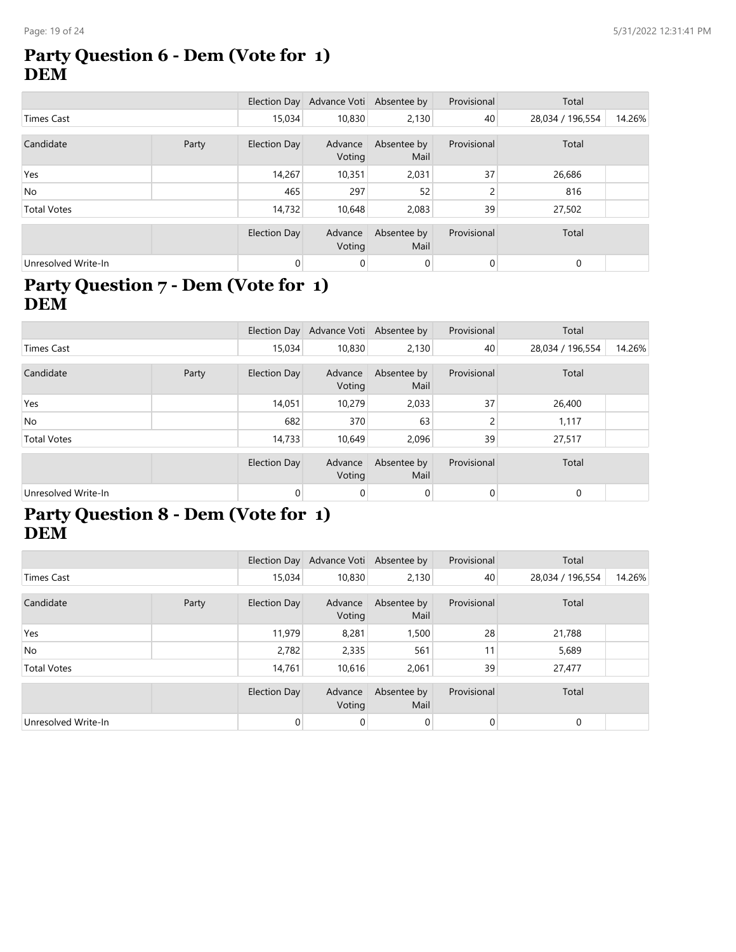#### **Party Question 6 - Dem (Vote for 1) DEM**

|                     |  |              | Election Day Advance Voti Absentee by |                     | Provisional    | Total            |        |
|---------------------|--|--------------|---------------------------------------|---------------------|----------------|------------------|--------|
| Times Cast          |  | 15,034       | 10,830                                | 2,130               | 40             | 28,034 / 196,554 | 14.26% |
| Candidate<br>Party  |  | Election Day | Advance<br>Voting                     | Absentee by<br>Mail | Provisional    | Total            |        |
| Yes                 |  | 14,267       | 10,351                                | 2,031               | 37             | 26,686           |        |
| <b>No</b>           |  | 465          | 297                                   | 52                  | 2              | 816              |        |
| <b>Total Votes</b>  |  | 14,732       | 10,648                                | 2,083               | 39             | 27,502           |        |
|                     |  | Election Day | Advance<br>Voting                     | Absentee by<br>Mail | Provisional    | Total            |        |
| Unresolved Write-In |  | $\mathbf{0}$ | 0                                     | 0                   | $\overline{0}$ | $\mathbf{0}$     |        |

### **Party Question 7 - Dem (Vote for 1) DEM**

|                     |       |              | Election Day Advance Voti Absentee by |                     | Provisional | Total            |        |
|---------------------|-------|--------------|---------------------------------------|---------------------|-------------|------------------|--------|
| Times Cast          |       | 15,034       | 10,830                                | 2,130               | 40          | 28,034 / 196,554 | 14.26% |
|                     |       |              |                                       |                     |             |                  |        |
| Candidate           | Party | Election Day | Advance<br>Voting                     | Absentee by<br>Mail | Provisional | Total            |        |
| Yes                 |       | 14,051       | 10,279                                | 2,033               | 37          | 26,400           |        |
| <b>No</b>           |       | 682          | 370                                   | 63                  | 2           | 1,117            |        |
| <b>Total Votes</b>  |       | 14,733       | 10,649                                | 2,096               | 39          | 27,517           |        |
|                     |       | Election Day | Advance                               | Absentee by         | Provisional | Total            |        |
|                     |       |              | Voting                                | Mail                |             |                  |        |
| Unresolved Write-In |       | 0            | 0                                     | 0                   | 0           | 0                |        |

#### **Party Question 8 - Dem (Vote for 1) DEM**

|                     |  |                | Election Day Advance Voti Absentee by |                     | Provisional    | Total            |        |
|---------------------|--|----------------|---------------------------------------|---------------------|----------------|------------------|--------|
| <b>Times Cast</b>   |  | 15,034         | 10,830                                | 2,130               | 40             | 28,034 / 196,554 | 14.26% |
| Candidate<br>Party  |  | Election Day   | Advance<br>Voting                     | Absentee by<br>Mail | Provisional    | Total            |        |
| Yes                 |  | 11,979         | 8,281                                 | 1,500               | 28             | 21,788           |        |
| No                  |  | 2,782          | 2,335                                 | 561                 | 11             | 5,689            |        |
| <b>Total Votes</b>  |  | 14.761         | 10,616                                | 2.061               | 39             | 27,477           |        |
|                     |  | Election Day   | Advance<br>Voting                     | Absentee by<br>Mail | Provisional    | Total            |        |
| Unresolved Write-In |  | $\overline{0}$ | 0                                     | $\overline{0}$      | $\overline{0}$ | $\mathbf{0}$     |        |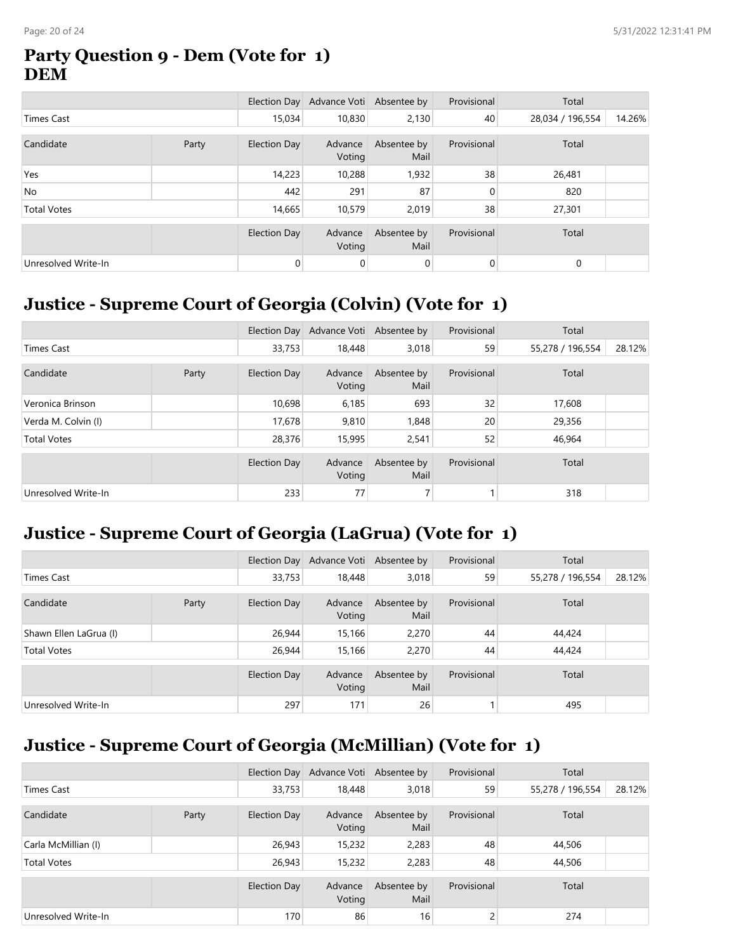#### **Party Question 9 - Dem (Vote for 1) DEM**

|                     |       |              | Election Day Advance Voti Absentee by |                     | Provisional    | Total            |        |
|---------------------|-------|--------------|---------------------------------------|---------------------|----------------|------------------|--------|
| Times Cast          |       | 15,034       | 10,830                                | 2,130               | 40             | 28,034 / 196,554 | 14.26% |
|                     |       |              |                                       |                     |                |                  |        |
| Candidate           | Party | Election Day | Advance<br>Voting                     | Absentee by<br>Mail | Provisional    | Total            |        |
| Yes                 |       | 14,223       | 10,288                                | 1,932               | 38             | 26,481           |        |
| <b>No</b>           |       | 442          | 291                                   | 87                  | 0              | 820              |        |
| <b>Total Votes</b>  |       | 14,665       | 10,579                                | 2,019               | 38             | 27,301           |        |
|                     |       |              |                                       |                     |                |                  |        |
|                     |       | Election Day | Advance<br>Voting                     | Absentee by<br>Mail | Provisional    | Total            |        |
| Unresolved Write-In |       | $\mathbf{0}$ | 0                                     | 0                   | $\overline{0}$ | $\mathbf{0}$     |        |

### **Justice - Supreme Court of Georgia (Colvin) (Vote for 1)**

|                     |       |              | Election Day Advance Voti Absentee by |                     | Provisional     | Total            |        |
|---------------------|-------|--------------|---------------------------------------|---------------------|-----------------|------------------|--------|
| <b>Times Cast</b>   |       | 33,753       | 18,448                                | 3,018               | 59              | 55,278 / 196,554 | 28.12% |
| Candidate           | Party | Election Day | Advance<br>Voting                     | Absentee by<br>Mail | Provisional     | Total            |        |
| Veronica Brinson    |       | 10,698       | 6,185                                 | 693                 | 32              | 17,608           |        |
| Verda M. Colvin (I) |       | 17,678       | 9,810                                 | 1,848               | 20 <sup>1</sup> | 29,356           |        |
| <b>Total Votes</b>  |       | 28,376       | 15,995                                | 2,541               | 52              | 46,964           |        |
|                     |       | Election Day | Advance<br>Voting                     | Absentee by<br>Mail | Provisional     | Total            |        |
| Unresolved Write-In |       | 233          | 77                                    |                     |                 | 318              |        |

## **Justice - Supreme Court of Georgia (LaGrua) (Vote for 1)**

|                        |       |              | Election Day Advance Voti Absentee by |                     | Provisional | Total            |        |
|------------------------|-------|--------------|---------------------------------------|---------------------|-------------|------------------|--------|
| Times Cast             |       | 33,753       | 18,448                                | 3,018               | 59          | 55,278 / 196,554 | 28.12% |
| Candidate              | Party | Election Day | Advance<br>Voting                     | Absentee by<br>Mail | Provisional | Total            |        |
| Shawn Ellen LaGrua (I) |       | 26,944       | 15,166                                | 2.270               | 44          | 44,424           |        |
| <b>Total Votes</b>     |       | 26,944       | 15,166                                | 2,270               | 44          | 44,424           |        |
|                        |       | Election Day | Advance<br>Voting                     | Absentee by<br>Mail | Provisional | Total            |        |
| Unresolved Write-In    |       | 297          | 171                                   | 26                  |             | 495              |        |

## **Justice - Supreme Court of Georgia (McMillian) (Vote for 1)**

|                     |       |              | Election Day Advance Voti Absentee by |                     | Provisional | Total            |        |
|---------------------|-------|--------------|---------------------------------------|---------------------|-------------|------------------|--------|
| Times Cast          |       | 33,753       | 18,448                                | 3,018               | 59          | 55,278 / 196,554 | 28.12% |
| Candidate           | Party | Election Day | Advance<br>Voting                     | Absentee by<br>Mail | Provisional | Total            |        |
| Carla McMillian (I) |       | 26,943       | 15,232                                | 2,283               | 48          | 44,506           |        |
| <b>Total Votes</b>  |       | 26,943       | 15,232                                | 2,283               | 48          | 44,506           |        |
|                     |       | Election Day | Advance<br>Voting                     | Absentee by<br>Mail | Provisional | Total            |        |
| Unresolved Write-In |       | 170          | 86                                    | 16                  | 2           | 274              |        |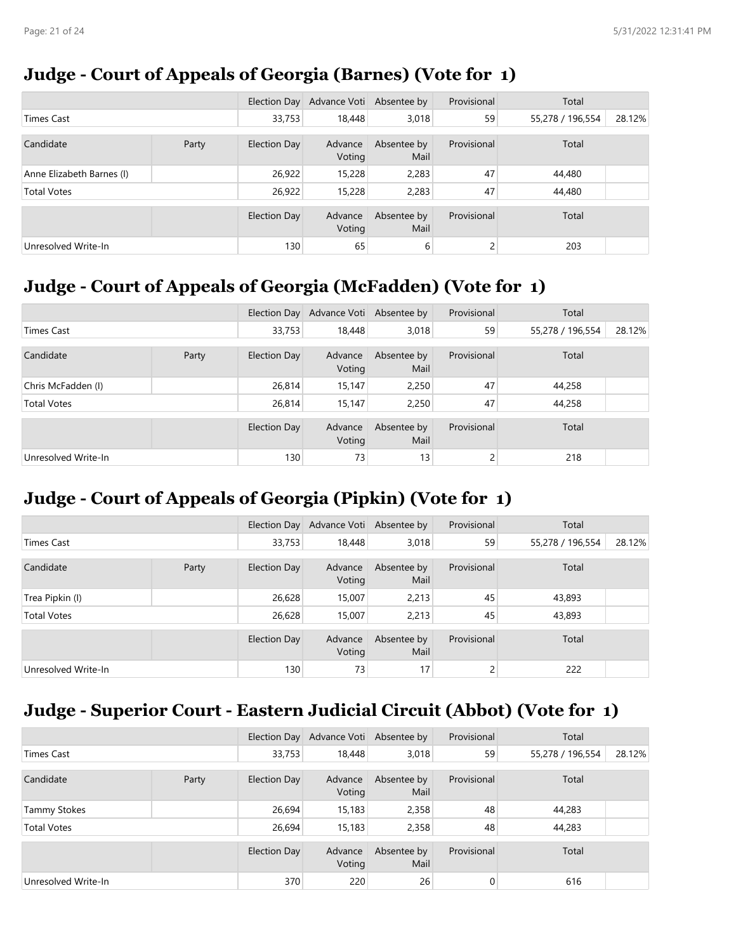### **Judge - Court of Appeals of Georgia (Barnes) (Vote for 1)**

|                           |       |              | Election Day Advance Voti Absentee by |                     | Provisional | Total            |        |
|---------------------------|-------|--------------|---------------------------------------|---------------------|-------------|------------------|--------|
| Times Cast                |       | 33,753       | 18,448                                | 3,018               | 59          | 55,278 / 196,554 | 28.12% |
| Candidate                 | Party | Election Day | Advance<br>Voting                     | Absentee by<br>Mail | Provisional | Total            |        |
| Anne Elizabeth Barnes (I) |       | 26,922       | 15,228                                | 2,283               | 47          | 44,480           |        |
| <b>Total Votes</b>        |       | 26,922       | 15,228                                | 2,283               | 47          | 44,480           |        |
|                           |       | Election Day | Advance<br>Voting                     | Absentee by<br>Mail | Provisional | Total            |        |
| Unresolved Write-In       |       | 130          | 65                                    | 6                   |             | 203              |        |

## **Judge - Court of Appeals of Georgia (McFadden) (Vote for 1)**

|                     |  |              | Election Day Advance Voti Absentee by |                     | Provisional | Total            |        |
|---------------------|--|--------------|---------------------------------------|---------------------|-------------|------------------|--------|
| <b>Times Cast</b>   |  | 33,753       | 18,448                                | 3,018               | 59          | 55,278 / 196,554 | 28.12% |
| Candidate<br>Party  |  | Election Day | Advance<br>Voting                     | Absentee by<br>Mail | Provisional | Total            |        |
| Chris McFadden (I)  |  | 26,814       | 15,147                                | 2,250               | 47          | 44,258           |        |
| <b>Total Votes</b>  |  | 26,814       | 15,147                                | 2,250               | 47          | 44,258           |        |
|                     |  | Election Day | Advance<br>Voting                     | Absentee by<br>Mail | Provisional | Total            |        |
| Unresolved Write-In |  | 130          | 73                                    | 13                  | C.          | 218              |        |

## **Judge - Court of Appeals of Georgia (Pipkin) (Vote for 1)**

|                     |       |              | Election Day Advance Voti Absentee by |                     | Provisional | Total            |        |
|---------------------|-------|--------------|---------------------------------------|---------------------|-------------|------------------|--------|
| <b>Times Cast</b>   |       | 33,753       | 18,448                                | 3,018               | 59          | 55,278 / 196,554 | 28.12% |
| Candidate           | Party | Election Day | Advance<br>Voting                     | Absentee by<br>Mail | Provisional | Total            |        |
| Trea Pipkin (I)     |       | 26,628       | 15,007                                | 2,213               | 45          | 43,893           |        |
| <b>Total Votes</b>  |       | 26,628       | 15,007                                | 2,213               | 45          | 43,893           |        |
|                     |       | Election Day | Advance<br>Voting                     | Absentee by<br>Mail | Provisional | Total            |        |
| Unresolved Write-In |       | 130          | 73                                    | 17                  | C.          | 222              |        |

## **Judge - Superior Court - Eastern Judicial Circuit (Abbot) (Vote for 1)**

|                     |       |              | Election Day Advance Voti Absentee by |                     | Provisional | Total            |        |
|---------------------|-------|--------------|---------------------------------------|---------------------|-------------|------------------|--------|
| Times Cast          |       | 33,753       | 18,448                                | 3,018               | 59          | 55,278 / 196,554 | 28.12% |
| Candidate           | Party | Election Day | Advance<br>Voting                     | Absentee by<br>Mail | Provisional | Total            |        |
| <b>Tammy Stokes</b> |       | 26,694       | 15,183                                | 2,358               | 48          | 44,283           |        |
| <b>Total Votes</b>  |       | 26,694       | 15,183                                | 2,358               | 48          | 44,283           |        |
|                     |       | Election Day | Advance<br>Voting                     | Absentee by<br>Mail | Provisional | Total            |        |
| Unresolved Write-In |       | 370          | 220                                   | 26                  | 0           | 616              |        |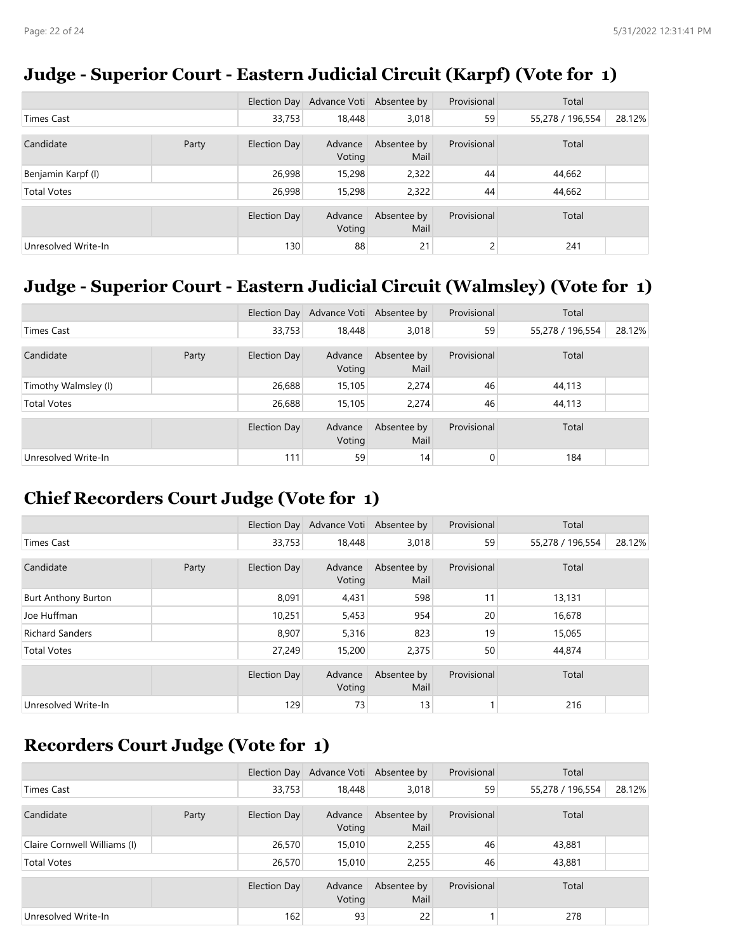#### **Judge - Superior Court - Eastern Judicial Circuit (Karpf) (Vote for 1)**

|                     |       |              | Election Day Advance Voti Absentee by |                     | Provisional | Total            |        |
|---------------------|-------|--------------|---------------------------------------|---------------------|-------------|------------------|--------|
| Times Cast          |       | 33,753       | 18,448                                | 3,018               | 59          | 55,278 / 196,554 | 28.12% |
| Candidate           | Party | Election Day | Advance<br>Voting                     | Absentee by<br>Mail | Provisional | Total            |        |
| Benjamin Karpf (I)  |       | 26,998       | 15,298                                | 2,322               | 44          | 44,662           |        |
| <b>Total Votes</b>  |       | 26,998       | 15,298                                | 2,322               | 44          | 44,662           |        |
|                     |       | Election Day | Advance<br>Voting                     | Absentee by<br>Mail | Provisional | Total            |        |
| Unresolved Write-In |       | 130          | 88                                    | 21                  | 2           | 241              |        |

## **Judge - Superior Court - Eastern Judicial Circuit (Walmsley) (Vote for 1)**

|                      |       |              | Election Day Advance Voti Absentee by |                     | Provisional    | Total            |        |
|----------------------|-------|--------------|---------------------------------------|---------------------|----------------|------------------|--------|
| <b>Times Cast</b>    |       | 33,753       | 18,448                                | 3,018               | 59             | 55,278 / 196,554 | 28.12% |
| Candidate            | Party | Election Day | Advance<br>Voting                     | Absentee by<br>Mail | Provisional    | Total            |        |
| Timothy Walmsley (I) |       | 26,688       | 15,105                                | 2.274               | 46             | 44,113           |        |
| <b>Total Votes</b>   |       | 26,688       | 15,105                                | 2,274               | 46             | 44,113           |        |
|                      |       | Election Day | Advance<br>Voting                     | Absentee by<br>Mail | Provisional    | Total            |        |
| Unresolved Write-In  |       | 111          | 59                                    | 14                  | $\overline{0}$ | 184              |        |

## **Chief Recorders Court Judge (Vote for 1)**

|                            |  |                     | Election Day Advance Voti Absentee by |                     | Provisional | Total            |        |
|----------------------------|--|---------------------|---------------------------------------|---------------------|-------------|------------------|--------|
| <b>Times Cast</b>          |  | 33,753              | 18,448                                | 3,018               | 59          | 55,278 / 196,554 | 28.12% |
| Candidate<br>Party         |  | Election Day        | Advance<br>Voting                     | Absentee by<br>Mail | Provisional | Total            |        |
| <b>Burt Anthony Burton</b> |  | 8,091               | 4,431                                 | 598                 | 11          | 13,131           |        |
| Joe Huffman                |  | 10,251              | 5,453                                 | 954                 | 20          | 16,678           |        |
| <b>Richard Sanders</b>     |  | 8,907               | 5,316                                 | 823                 | 19          | 15,065           |        |
| <b>Total Votes</b>         |  | 27,249              | 15,200                                | 2,375               | 50          | 44,874           |        |
|                            |  | <b>Election Day</b> | Advance<br>Voting                     | Absentee by<br>Mail | Provisional | Total            |        |
| Unresolved Write-In        |  | 129                 | 73                                    | 13 <sub>1</sub>     |             | 216              |        |

#### **Recorders Court Judge (Vote for 1)**

|                              |  |              | Election Day Advance Voti Absentee by |                     | Provisional | Total            |        |
|------------------------------|--|--------------|---------------------------------------|---------------------|-------------|------------------|--------|
| Times Cast                   |  | 33,753       | 18,448                                | 3,018               | 59          | 55,278 / 196,554 | 28.12% |
| Candidate<br>Party           |  | Election Day | Advance<br>Voting                     | Absentee by<br>Mail | Provisional | Total            |        |
| Claire Cornwell Williams (I) |  | 26,570       | 15,010                                | 2,255               | 46          | 43,881           |        |
| <b>Total Votes</b>           |  | 26,570       | 15,010                                | 2,255               | 46          | 43,881           |        |
|                              |  | Election Day | Advance<br>Voting                     | Absentee by<br>Mail | Provisional | Total            |        |
| Unresolved Write-In          |  | 162          | 93                                    | 22                  |             | 278              |        |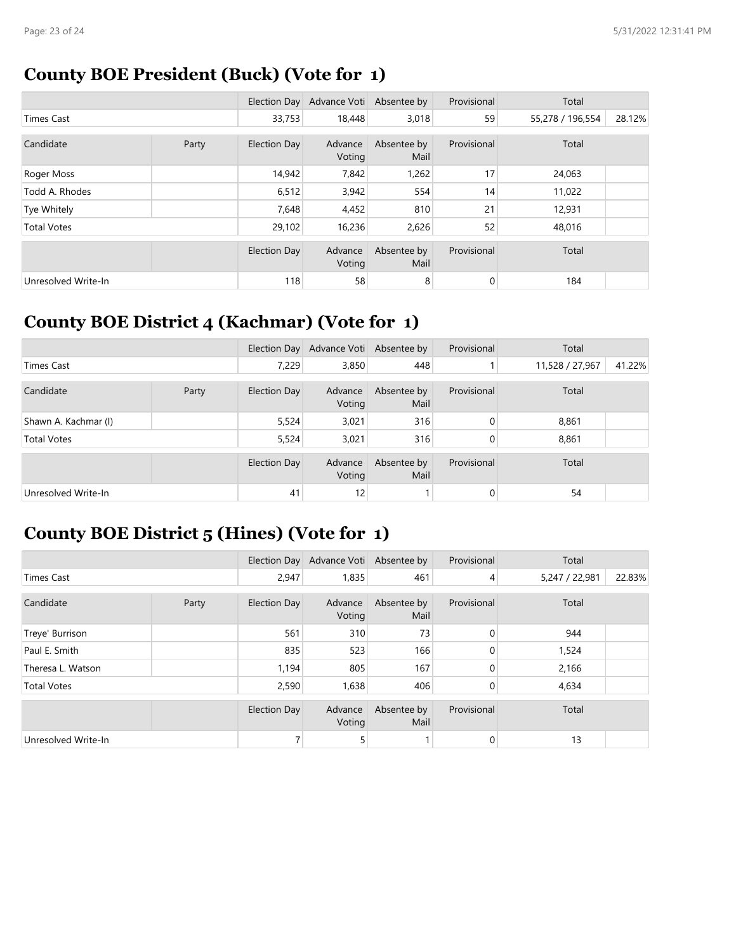## **County BOE President (Buck) (Vote for 1)**

|                     |       |                     | Election Day Advance Voti Absentee by |                     | Provisional | Total            |        |
|---------------------|-------|---------------------|---------------------------------------|---------------------|-------------|------------------|--------|
| Times Cast          |       | 33,753              | 18,448                                | 3,018               | 59          | 55,278 / 196,554 | 28.12% |
| Candidate           | Party | Election Day        | Advance<br>Voting                     | Absentee by<br>Mail | Provisional | Total            |        |
| Roger Moss          |       | 14,942              | 7,842                                 | 1,262               | 17          | 24,063           |        |
| Todd A. Rhodes      |       | 6,512               | 3,942                                 | 554                 | 14          | 11,022           |        |
| Tye Whitely         |       | 7,648               | 4,452                                 | 810                 | 21          | 12,931           |        |
| <b>Total Votes</b>  |       | 29,102              | 16,236                                | 2,626               | 52          | 48,016           |        |
|                     |       | <b>Election Day</b> | Advance<br>Voting                     | Absentee by<br>Mail | Provisional | Total            |        |
| Unresolved Write-In |       | 118                 | 58                                    | 8                   | 0           | 184              |        |

## **County BOE District 4 (Kachmar) (Vote for 1)**

|                      |       |              | Election Day Advance Voti Absentee by |                     | Provisional  | Total           |        |
|----------------------|-------|--------------|---------------------------------------|---------------------|--------------|-----------------|--------|
| <b>Times Cast</b>    |       | 7,229        | 3,850                                 | 448                 |              | 11,528 / 27,967 | 41.22% |
| Candidate            | Party | Election Day | Advance<br>Voting                     | Absentee by<br>Mail | Provisional  | Total           |        |
| Shawn A. Kachmar (I) |       | 5,524        | 3,021                                 | 316                 | $\Omega$     | 8,861           |        |
| <b>Total Votes</b>   |       | 5,524        | 3,021                                 | 316                 | $\mathbf{0}$ | 8,861           |        |
|                      |       | Election Day | Advance<br>Voting                     | Absentee by<br>Mail | Provisional  | Total           |        |
| Unresolved Write-In  |       | 41           | 12                                    |                     | 0            | 54              |        |

## **County BOE District 5 (Hines) (Vote for 1)**

|                     |  |                     | Election Day Advance Voti Absentee by |                     | Provisional    | Total          |        |
|---------------------|--|---------------------|---------------------------------------|---------------------|----------------|----------------|--------|
| Times Cast          |  | 2,947               | 1,835                                 | 461                 | 4              | 5,247 / 22,981 | 22.83% |
| Candidate<br>Party  |  | Election Day        | Advance<br>Voting                     | Absentee by<br>Mail | Provisional    | Total          |        |
| Treye' Burrison     |  | 561                 | 310                                   | 73                  | $\overline{0}$ | 944            |        |
| Paul E. Smith       |  | 835                 | 523                                   | 166                 | 0              | 1,524          |        |
| Theresa L. Watson   |  | 1,194               | 805                                   | 167                 | 0              | 2,166          |        |
| <b>Total Votes</b>  |  | 2,590               | 1,638                                 | 406                 | 0              | 4,634          |        |
|                     |  | <b>Election Day</b> | Advance<br>Voting                     | Absentee by<br>Mail | Provisional    | Total          |        |
| Unresolved Write-In |  |                     | 5                                     |                     | 0              | 13             |        |